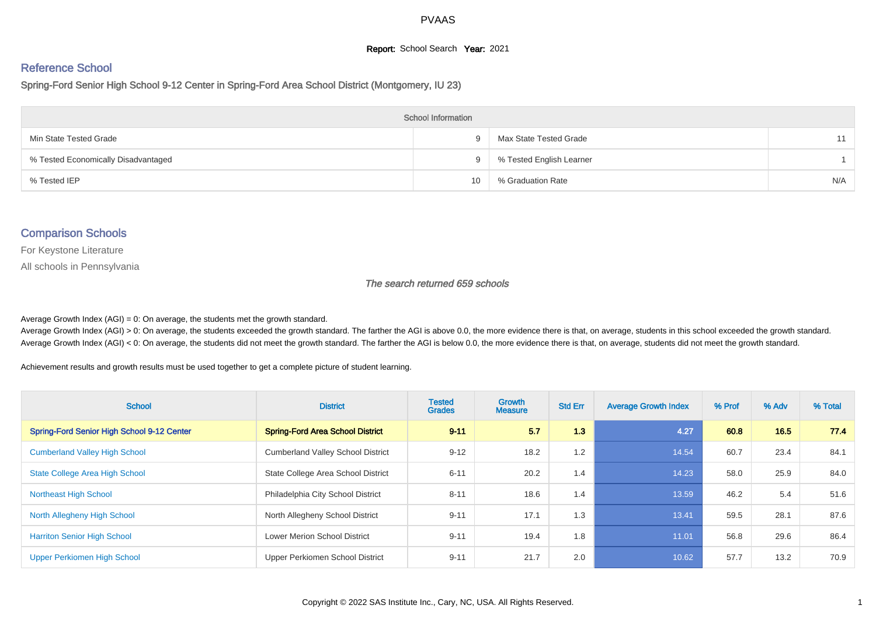#### **Report:** School Search **Year:** 2021

# Reference School

Spring-Ford Senior High School 9-12 Center in Spring-Ford Area School District (Montgomery, IU 23)

| <b>School Information</b>           |    |                          |     |  |  |  |  |  |
|-------------------------------------|----|--------------------------|-----|--|--|--|--|--|
| Min State Tested Grade              |    | Max State Tested Grade   | 11  |  |  |  |  |  |
| % Tested Economically Disadvantaged | 9  | % Tested English Learner |     |  |  |  |  |  |
| % Tested IEP                        | 10 | % Graduation Rate        | N/A |  |  |  |  |  |

#### Comparison Schools

For Keystone Literature

All schools in Pennsylvania

The search returned 659 schools

Average Growth Index  $(AGI) = 0$ : On average, the students met the growth standard.

Average Growth Index (AGI) > 0: On average, the students exceeded the growth standard. The farther the AGI is above 0.0, the more evidence there is that, on average, students in this school exceeded the growth standard. Average Growth Index (AGI) < 0: On average, the students did not meet the growth standard. The farther the AGI is below 0.0, the more evidence there is that, on average, students did not meet the growth standard.

Achievement results and growth results must be used together to get a complete picture of student learning.

| <b>School</b>                              | <b>District</b>                          | <b>Tested</b><br><b>Grades</b> | Growth<br><b>Measure</b> | <b>Std Err</b> | <b>Average Growth Index</b> | % Prof | % Adv | % Total |
|--------------------------------------------|------------------------------------------|--------------------------------|--------------------------|----------------|-----------------------------|--------|-------|---------|
| Spring-Ford Senior High School 9-12 Center | <b>Spring-Ford Area School District</b>  | $9 - 11$                       | 5.7                      | 1.3            | 4.27                        | 60.8   | 16.5  | 77.4    |
| <b>Cumberland Valley High School</b>       | <b>Cumberland Valley School District</b> | $9 - 12$                       | 18.2                     | 1.2            | 14.54                       | 60.7   | 23.4  | 84.1    |
| <b>State College Area High School</b>      | State College Area School District       | $6 - 11$                       | 20.2                     | 1.4            | 14.23                       | 58.0   | 25.9  | 84.0    |
| <b>Northeast High School</b>               | Philadelphia City School District        | $8 - 11$                       | 18.6                     | 1.4            | 13.59                       | 46.2   | 5.4   | 51.6    |
| North Allegheny High School                | North Allegheny School District          | $9 - 11$                       | 17.1                     | 1.3            | 13.41                       | 59.5   | 28.1  | 87.6    |
| <b>Harriton Senior High School</b>         | <b>Lower Merion School District</b>      | $9 - 11$                       | 19.4                     | 1.8            | 11.01                       | 56.8   | 29.6  | 86.4    |
| Upper Perkiomen High School                | Upper Perkiomen School District          | $9 - 11$                       | 21.7                     | 2.0            | 10.62                       | 57.7   | 13.2  | 70.9    |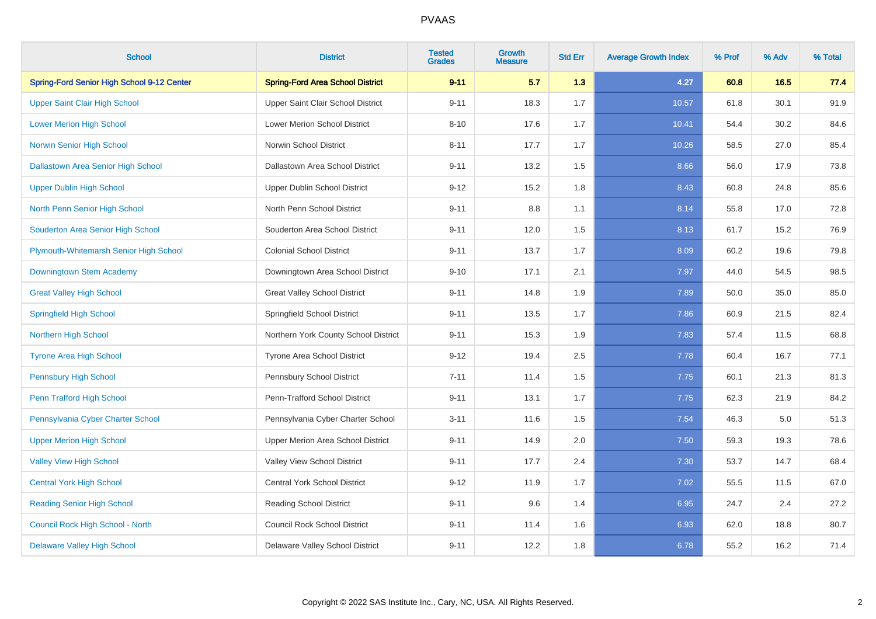| <b>School</b>                              | <b>District</b>                         | <b>Tested</b><br><b>Grades</b> | <b>Growth</b><br><b>Measure</b> | <b>Std Err</b> | <b>Average Growth Index</b> | % Prof | % Adv | % Total |
|--------------------------------------------|-----------------------------------------|--------------------------------|---------------------------------|----------------|-----------------------------|--------|-------|---------|
| Spring-Ford Senior High School 9-12 Center | <b>Spring-Ford Area School District</b> | $9 - 11$                       | 5.7                             | 1.3            | 4.27                        | 60.8   | 16.5  | 77.4    |
| <b>Upper Saint Clair High School</b>       | Upper Saint Clair School District       | $9 - 11$                       | 18.3                            | 1.7            | 10.57                       | 61.8   | 30.1  | 91.9    |
| <b>Lower Merion High School</b>            | <b>Lower Merion School District</b>     | $8 - 10$                       | 17.6                            | 1.7            | 10.41                       | 54.4   | 30.2  | 84.6    |
| Norwin Senior High School                  | Norwin School District                  | $8 - 11$                       | 17.7                            | 1.7            | 10.26                       | 58.5   | 27.0  | 85.4    |
| <b>Dallastown Area Senior High School</b>  | Dallastown Area School District         | $9 - 11$                       | 13.2                            | 1.5            | 8.66                        | 56.0   | 17.9  | 73.8    |
| <b>Upper Dublin High School</b>            | <b>Upper Dublin School District</b>     | $9 - 12$                       | 15.2                            | 1.8            | 8.43                        | 60.8   | 24.8  | 85.6    |
| North Penn Senior High School              | North Penn School District              | $9 - 11$                       | 8.8                             | 1.1            | 8.14                        | 55.8   | 17.0  | 72.8    |
| Souderton Area Senior High School          | Souderton Area School District          | $9 - 11$                       | 12.0                            | 1.5            | 8.13                        | 61.7   | 15.2  | 76.9    |
| Plymouth-Whitemarsh Senior High School     | <b>Colonial School District</b>         | $9 - 11$                       | 13.7                            | 1.7            | 8.09                        | 60.2   | 19.6  | 79.8    |
| Downingtown Stem Academy                   | Downingtown Area School District        | $9 - 10$                       | 17.1                            | 2.1            | 7.97                        | 44.0   | 54.5  | 98.5    |
| <b>Great Valley High School</b>            | <b>Great Valley School District</b>     | $9 - 11$                       | 14.8                            | 1.9            | 7.89                        | 50.0   | 35.0  | 85.0    |
| <b>Springfield High School</b>             | Springfield School District             | $9 - 11$                       | 13.5                            | 1.7            | 7.86                        | 60.9   | 21.5  | 82.4    |
| <b>Northern High School</b>                | Northern York County School District    | $9 - 11$                       | 15.3                            | 1.9            | 7.83                        | 57.4   | 11.5  | 68.8    |
| <b>Tyrone Area High School</b>             | Tyrone Area School District             | $9 - 12$                       | 19.4                            | 2.5            | 7.78                        | 60.4   | 16.7  | 77.1    |
| <b>Pennsbury High School</b>               | Pennsbury School District               | $7 - 11$                       | 11.4                            | 1.5            | 7.75                        | 60.1   | 21.3  | 81.3    |
| Penn Trafford High School                  | Penn-Trafford School District           | $9 - 11$                       | 13.1                            | 1.7            | 7.75                        | 62.3   | 21.9  | 84.2    |
| Pennsylvania Cyber Charter School          | Pennsylvania Cyber Charter School       | $3 - 11$                       | 11.6                            | 1.5            | 7.54                        | 46.3   | 5.0   | 51.3    |
| <b>Upper Merion High School</b>            | Upper Merion Area School District       | $9 - 11$                       | 14.9                            | 2.0            | 7.50                        | 59.3   | 19.3  | 78.6    |
| <b>Valley View High School</b>             | Valley View School District             | $9 - 11$                       | 17.7                            | 2.4            | 7.30                        | 53.7   | 14.7  | 68.4    |
| <b>Central York High School</b>            | <b>Central York School District</b>     | $9 - 12$                       | 11.9                            | 1.7            | 7.02                        | 55.5   | 11.5  | 67.0    |
| <b>Reading Senior High School</b>          | <b>Reading School District</b>          | $9 - 11$                       | 9.6                             | 1.4            | 6.95                        | 24.7   | 2.4   | 27.2    |
| Council Rock High School - North           | <b>Council Rock School District</b>     | $9 - 11$                       | 11.4                            | 1.6            | 6.93                        | 62.0   | 18.8  | 80.7    |
| <b>Delaware Valley High School</b>         | Delaware Valley School District         | $9 - 11$                       | 12.2                            | 1.8            | 6.78                        | 55.2   | 16.2  | 71.4    |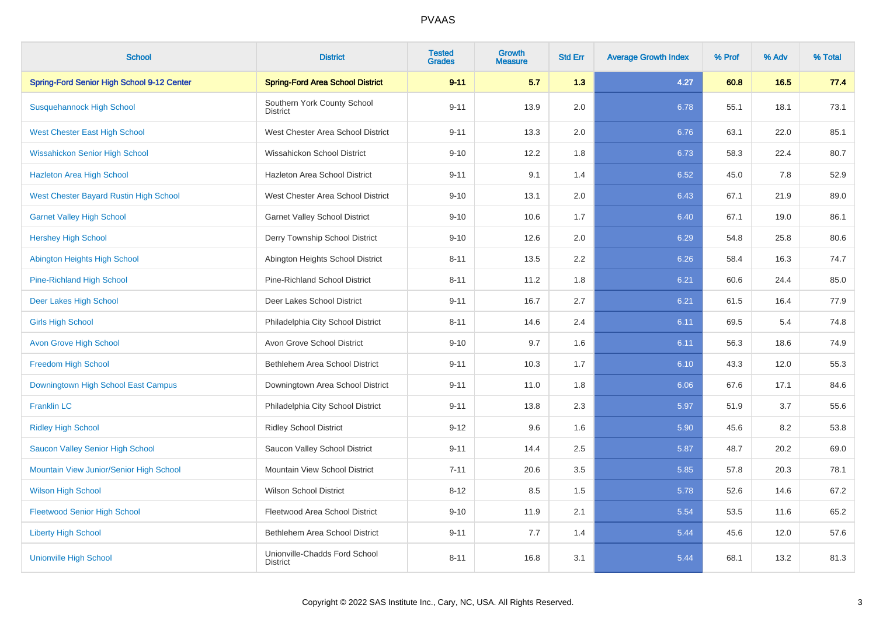| <b>School</b>                              | <b>District</b>                                  | <b>Tested</b><br><b>Grades</b> | Growth<br><b>Measure</b> | <b>Std Err</b> | <b>Average Growth Index</b> | % Prof | % Adv | % Total |
|--------------------------------------------|--------------------------------------------------|--------------------------------|--------------------------|----------------|-----------------------------|--------|-------|---------|
| Spring-Ford Senior High School 9-12 Center | <b>Spring-Ford Area School District</b>          | $9 - 11$                       | 5.7                      | 1.3            | 4.27                        | 60.8   | 16.5  | 77.4    |
| <b>Susquehannock High School</b>           | Southern York County School<br><b>District</b>   | $9 - 11$                       | 13.9                     | 2.0            | 6.78                        | 55.1   | 18.1  | 73.1    |
| <b>West Chester East High School</b>       | West Chester Area School District                | $9 - 11$                       | 13.3                     | 2.0            | 6.76                        | 63.1   | 22.0  | 85.1    |
| <b>Wissahickon Senior High School</b>      | Wissahickon School District                      | $9 - 10$                       | 12.2                     | 1.8            | 6.73                        | 58.3   | 22.4  | 80.7    |
| <b>Hazleton Area High School</b>           | Hazleton Area School District                    | $9 - 11$                       | 9.1                      | 1.4            | 6.52                        | 45.0   | 7.8   | 52.9    |
| West Chester Bayard Rustin High School     | West Chester Area School District                | $9 - 10$                       | 13.1                     | 2.0            | 6.43                        | 67.1   | 21.9  | 89.0    |
| <b>Garnet Valley High School</b>           | <b>Garnet Valley School District</b>             | $9 - 10$                       | 10.6                     | 1.7            | 6.40                        | 67.1   | 19.0  | 86.1    |
| <b>Hershey High School</b>                 | Derry Township School District                   | $9 - 10$                       | 12.6                     | 2.0            | 6.29                        | 54.8   | 25.8  | 80.6    |
| Abington Heights High School               | Abington Heights School District                 | $8 - 11$                       | 13.5                     | 2.2            | 6.26                        | 58.4   | 16.3  | 74.7    |
| <b>Pine-Richland High School</b>           | Pine-Richland School District                    | $8 - 11$                       | 11.2                     | 1.8            | 6.21                        | 60.6   | 24.4  | 85.0    |
| Deer Lakes High School                     | Deer Lakes School District                       | $9 - 11$                       | 16.7                     | 2.7            | 6.21                        | 61.5   | 16.4  | 77.9    |
| <b>Girls High School</b>                   | Philadelphia City School District                | $8 - 11$                       | 14.6                     | 2.4            | 6.11                        | 69.5   | 5.4   | 74.8    |
| <b>Avon Grove High School</b>              | Avon Grove School District                       | $9 - 10$                       | 9.7                      | 1.6            | 6.11                        | 56.3   | 18.6  | 74.9    |
| <b>Freedom High School</b>                 | Bethlehem Area School District                   | $9 - 11$                       | 10.3                     | 1.7            | 6.10                        | 43.3   | 12.0  | 55.3    |
| Downingtown High School East Campus        | Downingtown Area School District                 | $9 - 11$                       | 11.0                     | 1.8            | 6.06                        | 67.6   | 17.1  | 84.6    |
| <b>Franklin LC</b>                         | Philadelphia City School District                | $9 - 11$                       | 13.8                     | 2.3            | 5.97                        | 51.9   | 3.7   | 55.6    |
| <b>Ridley High School</b>                  | <b>Ridley School District</b>                    | $9 - 12$                       | 9.6                      | 1.6            | 5.90                        | 45.6   | 8.2   | 53.8    |
| Saucon Valley Senior High School           | Saucon Valley School District                    | $9 - 11$                       | 14.4                     | 2.5            | 5.87                        | 48.7   | 20.2  | 69.0    |
| Mountain View Junior/Senior High School    | Mountain View School District                    | $7 - 11$                       | 20.6                     | 3.5            | 5.85                        | 57.8   | 20.3  | 78.1    |
| <b>Wilson High School</b>                  | <b>Wilson School District</b>                    | $8 - 12$                       | 8.5                      | 1.5            | 5.78                        | 52.6   | 14.6  | 67.2    |
| <b>Fleetwood Senior High School</b>        | Fleetwood Area School District                   | $9 - 10$                       | 11.9                     | 2.1            | 5.54                        | 53.5   | 11.6  | 65.2    |
| <b>Liberty High School</b>                 | Bethlehem Area School District                   | $9 - 11$                       | 7.7                      | 1.4            | 5.44                        | 45.6   | 12.0  | 57.6    |
| <b>Unionville High School</b>              | Unionville-Chadds Ford School<br><b>District</b> | $8 - 11$                       | 16.8                     | 3.1            | 5.44                        | 68.1   | 13.2  | 81.3    |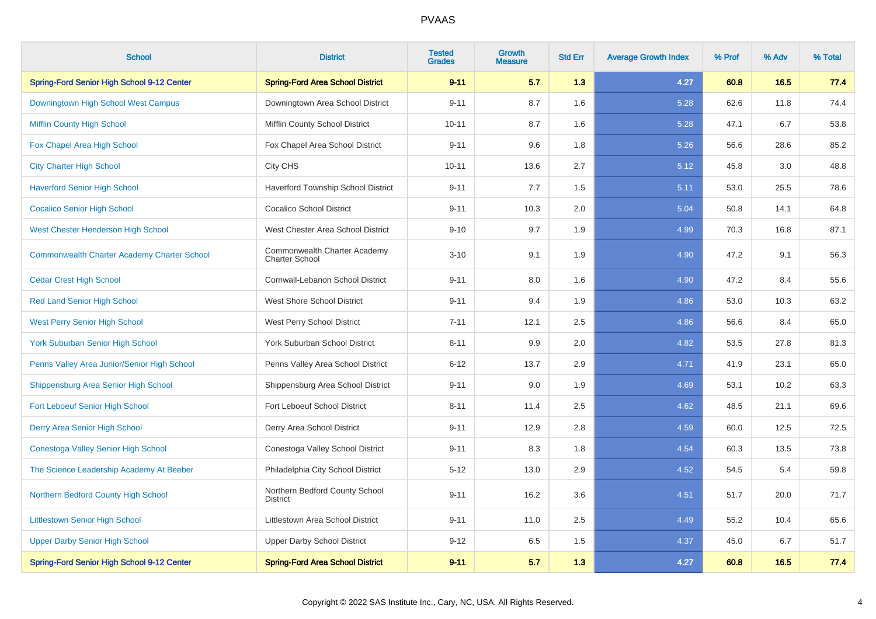| <b>School</b>                                      | <b>District</b>                                       | <b>Tested</b><br><b>Grades</b> | <b>Growth</b><br><b>Measure</b> | <b>Std Err</b> | <b>Average Growth Index</b> | % Prof | % Adv | % Total |
|----------------------------------------------------|-------------------------------------------------------|--------------------------------|---------------------------------|----------------|-----------------------------|--------|-------|---------|
| Spring-Ford Senior High School 9-12 Center         | <b>Spring-Ford Area School District</b>               | $9 - 11$                       | 5.7                             | 1.3            | 4.27                        | 60.8   | 16.5  | 77.4    |
| Downingtown High School West Campus                | Downingtown Area School District                      | $9 - 11$                       | 8.7                             | 1.6            | 5.28                        | 62.6   | 11.8  | 74.4    |
| <b>Mifflin County High School</b>                  | Mifflin County School District                        | $10 - 11$                      | 8.7                             | 1.6            | 5.28                        | 47.1   | 6.7   | 53.8    |
| Fox Chapel Area High School                        | Fox Chapel Area School District                       | $9 - 11$                       | 9.6                             | 1.8            | 5.26                        | 56.6   | 28.6  | 85.2    |
| <b>City Charter High School</b>                    | City CHS                                              | $10 - 11$                      | 13.6                            | 2.7            | 5.12                        | 45.8   | 3.0   | 48.8    |
| <b>Haverford Senior High School</b>                | Haverford Township School District                    | $9 - 11$                       | 7.7                             | 1.5            | 5.11                        | 53.0   | 25.5  | 78.6    |
| <b>Cocalico Senior High School</b>                 | <b>Cocalico School District</b>                       | $9 - 11$                       | 10.3                            | 2.0            | 5.04                        | 50.8   | 14.1  | 64.8    |
| <b>West Chester Henderson High School</b>          | West Chester Area School District                     | $9 - 10$                       | 9.7                             | 1.9            | 4.99                        | 70.3   | 16.8  | 87.1    |
| <b>Commonwealth Charter Academy Charter School</b> | Commonwealth Charter Academy<br><b>Charter School</b> | $3 - 10$                       | 9.1                             | 1.9            | 4.90                        | 47.2   | 9.1   | 56.3    |
| <b>Cedar Crest High School</b>                     | Cornwall-Lebanon School District                      | $9 - 11$                       | 8.0                             | 1.6            | 4.90                        | 47.2   | 8.4   | 55.6    |
| <b>Red Land Senior High School</b>                 | <b>West Shore School District</b>                     | $9 - 11$                       | 9.4                             | 1.9            | 4.86                        | 53.0   | 10.3  | 63.2    |
| <b>West Perry Senior High School</b>               | West Perry School District                            | $7 - 11$                       | 12.1                            | 2.5            | 4.86                        | 56.6   | 8.4   | 65.0    |
| <b>York Suburban Senior High School</b>            | York Suburban School District                         | $8 - 11$                       | 9.9                             | 2.0            | 4.82                        | 53.5   | 27.8  | 81.3    |
| Penns Valley Area Junior/Senior High School        | Penns Valley Area School District                     | $6 - 12$                       | 13.7                            | 2.9            | 4.71                        | 41.9   | 23.1  | 65.0    |
| Shippensburg Area Senior High School               | Shippensburg Area School District                     | $9 - 11$                       | 9.0                             | 1.9            | 4.69                        | 53.1   | 10.2  | 63.3    |
| <b>Fort Leboeuf Senior High School</b>             | Fort Leboeuf School District                          | $8 - 11$                       | 11.4                            | 2.5            | 4.62                        | 48.5   | 21.1  | 69.6    |
| Derry Area Senior High School                      | Derry Area School District                            | $9 - 11$                       | 12.9                            | 2.8            | 4.59                        | 60.0   | 12.5  | 72.5    |
| Conestoga Valley Senior High School                | Conestoga Valley School District                      | $9 - 11$                       | 8.3                             | 1.8            | 4.54                        | 60.3   | 13.5  | 73.8    |
| The Science Leadership Academy At Beeber           | Philadelphia City School District                     | $5 - 12$                       | 13.0                            | 2.9            | 4.52                        | 54.5   | 5.4   | 59.8    |
| Northern Bedford County High School                | Northern Bedford County School<br>District            | $9 - 11$                       | 16.2                            | 3.6            | 4.51                        | 51.7   | 20.0  | 71.7    |
| <b>Littlestown Senior High School</b>              | Littlestown Area School District                      | $9 - 11$                       | 11.0                            | 2.5            | 4.49                        | 55.2   | 10.4  | 65.6    |
| <b>Upper Darby Senior High School</b>              | <b>Upper Darby School District</b>                    | $9 - 12$                       | 6.5                             | 1.5            | 4.37                        | 45.0   | 6.7   | 51.7    |
| <b>Spring-Ford Senior High School 9-12 Center</b>  | <b>Spring-Ford Area School District</b>               | $9 - 11$                       | 5.7                             | 1.3            | 4.27                        | 60.8   | 16.5  | 77.4    |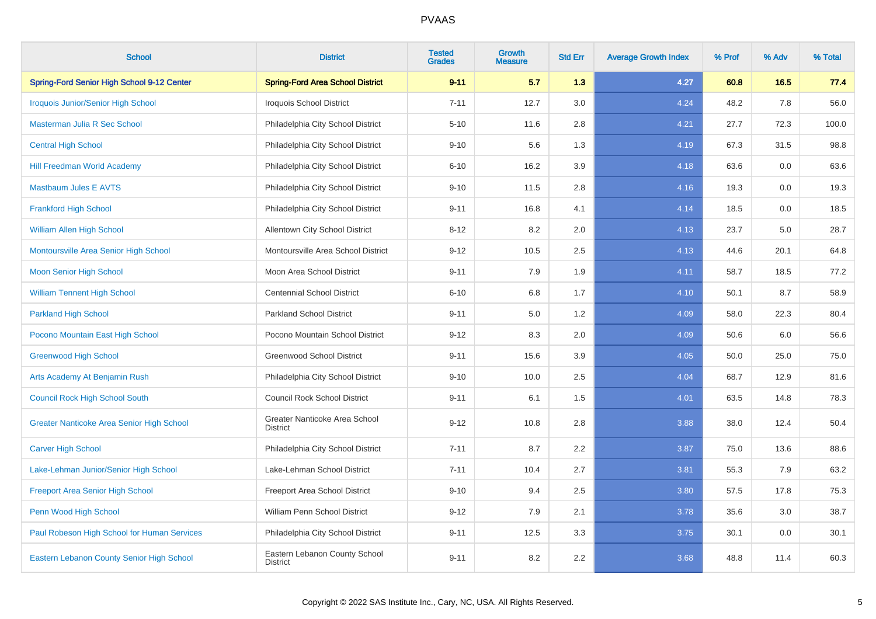| <b>School</b>                               | <b>District</b>                                  | <b>Tested</b><br><b>Grades</b> | Growth<br><b>Measure</b> | <b>Std Err</b> | <b>Average Growth Index</b> | % Prof | % Adv | % Total |
|---------------------------------------------|--------------------------------------------------|--------------------------------|--------------------------|----------------|-----------------------------|--------|-------|---------|
| Spring-Ford Senior High School 9-12 Center  | <b>Spring-Ford Area School District</b>          | $9 - 11$                       | 5.7                      | 1.3            | 4.27                        | 60.8   | 16.5  | 77.4    |
| <b>Iroquois Junior/Senior High School</b>   | <b>Iroquois School District</b>                  | $7 - 11$                       | 12.7                     | 3.0            | 4.24                        | 48.2   | 7.8   | 56.0    |
| Masterman Julia R Sec School                | Philadelphia City School District                | $5 - 10$                       | 11.6                     | 2.8            | 4.21                        | 27.7   | 72.3  | 100.0   |
| <b>Central High School</b>                  | Philadelphia City School District                | $9 - 10$                       | 5.6                      | 1.3            | 4.19                        | 67.3   | 31.5  | 98.8    |
| <b>Hill Freedman World Academy</b>          | Philadelphia City School District                | $6 - 10$                       | 16.2                     | 3.9            | 4.18                        | 63.6   | 0.0   | 63.6    |
| <b>Mastbaum Jules E AVTS</b>                | Philadelphia City School District                | $9 - 10$                       | 11.5                     | 2.8            | 4.16                        | 19.3   | 0.0   | 19.3    |
| <b>Frankford High School</b>                | Philadelphia City School District                | $9 - 11$                       | 16.8                     | 4.1            | 4.14                        | 18.5   | 0.0   | 18.5    |
| William Allen High School                   | Allentown City School District                   | $8 - 12$                       | 8.2                      | 2.0            | 4.13                        | 23.7   | 5.0   | 28.7    |
| Montoursville Area Senior High School       | Montoursville Area School District               | $9 - 12$                       | 10.5                     | 2.5            | 4.13                        | 44.6   | 20.1  | 64.8    |
| <b>Moon Senior High School</b>              | Moon Area School District                        | $9 - 11$                       | 7.9                      | 1.9            | 4.11                        | 58.7   | 18.5  | 77.2    |
| <b>William Tennent High School</b>          | <b>Centennial School District</b>                | $6 - 10$                       | 6.8                      | 1.7            | 4.10                        | 50.1   | 8.7   | 58.9    |
| <b>Parkland High School</b>                 | <b>Parkland School District</b>                  | $9 - 11$                       | 5.0                      | 1.2            | 4.09                        | 58.0   | 22.3  | 80.4    |
| Pocono Mountain East High School            | Pocono Mountain School District                  | $9 - 12$                       | 8.3                      | 2.0            | 4.09                        | 50.6   | 6.0   | 56.6    |
| <b>Greenwood High School</b>                | <b>Greenwood School District</b>                 | $9 - 11$                       | 15.6                     | 3.9            | 4.05                        | 50.0   | 25.0  | 75.0    |
| Arts Academy At Benjamin Rush               | Philadelphia City School District                | $9 - 10$                       | 10.0                     | 2.5            | 4.04                        | 68.7   | 12.9  | 81.6    |
| <b>Council Rock High School South</b>       | <b>Council Rock School District</b>              | $9 - 11$                       | 6.1                      | 1.5            | 4.01                        | 63.5   | 14.8  | 78.3    |
| Greater Nanticoke Area Senior High School   | Greater Nanticoke Area School<br><b>District</b> | $9 - 12$                       | 10.8                     | 2.8            | 3.88                        | 38.0   | 12.4  | 50.4    |
| <b>Carver High School</b>                   | Philadelphia City School District                | $7 - 11$                       | 8.7                      | 2.2            | 3.87                        | 75.0   | 13.6  | 88.6    |
| Lake-Lehman Junior/Senior High School       | Lake-Lehman School District                      | $7 - 11$                       | 10.4                     | 2.7            | 3.81                        | 55.3   | 7.9   | 63.2    |
| <b>Freeport Area Senior High School</b>     | Freeport Area School District                    | $9 - 10$                       | 9.4                      | 2.5            | 3.80                        | 57.5   | 17.8  | 75.3    |
| Penn Wood High School                       | William Penn School District                     | $9 - 12$                       | 7.9                      | 2.1            | 3.78                        | 35.6   | 3.0   | 38.7    |
| Paul Robeson High School for Human Services | Philadelphia City School District                | $9 - 11$                       | 12.5                     | 3.3            | 3.75                        | 30.1   | 0.0   | 30.1    |
| Eastern Lebanon County Senior High School   | Eastern Lebanon County School<br>District        | $9 - 11$                       | 8.2                      | 2.2            | 3.68                        | 48.8   | 11.4  | 60.3    |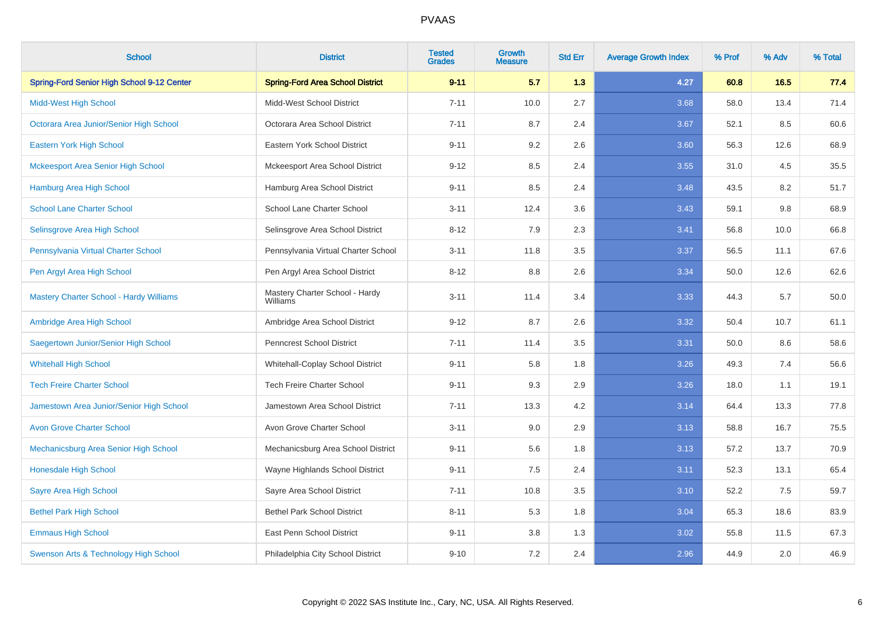| <b>School</b>                                  | <b>District</b>                            | <b>Tested</b><br><b>Grades</b> | <b>Growth</b><br><b>Measure</b> | <b>Std Err</b> | <b>Average Growth Index</b> | % Prof | % Adv | % Total |
|------------------------------------------------|--------------------------------------------|--------------------------------|---------------------------------|----------------|-----------------------------|--------|-------|---------|
| Spring-Ford Senior High School 9-12 Center     | <b>Spring-Ford Area School District</b>    | $9 - 11$                       | 5.7                             | 1.3            | 4.27                        | 60.8   | 16.5  | 77.4    |
| <b>Midd-West High School</b>                   | Midd-West School District                  | $7 - 11$                       | 10.0                            | 2.7            | 3.68                        | 58.0   | 13.4  | 71.4    |
| Octorara Area Junior/Senior High School        | Octorara Area School District              | $7 - 11$                       | 8.7                             | 2.4            | 3.67                        | 52.1   | 8.5   | 60.6    |
| Eastern York High School                       | Eastern York School District               | $9 - 11$                       | 9.2                             | 2.6            | 3.60                        | 56.3   | 12.6  | 68.9    |
| <b>Mckeesport Area Senior High School</b>      | Mckeesport Area School District            | $9 - 12$                       | 8.5                             | 2.4            | 3.55                        | 31.0   | 4.5   | 35.5    |
| <b>Hamburg Area High School</b>                | Hamburg Area School District               | $9 - 11$                       | 8.5                             | 2.4            | 3.48                        | 43.5   | 8.2   | 51.7    |
| <b>School Lane Charter School</b>              | School Lane Charter School                 | $3 - 11$                       | 12.4                            | 3.6            | 3.43                        | 59.1   | 9.8   | 68.9    |
| Selinsgrove Area High School                   | Selinsgrove Area School District           | $8 - 12$                       | 7.9                             | 2.3            | 3.41                        | 56.8   | 10.0  | 66.8    |
| Pennsylvania Virtual Charter School            | Pennsylvania Virtual Charter School        | $3 - 11$                       | 11.8                            | 3.5            | 3.37                        | 56.5   | 11.1  | 67.6    |
| Pen Argyl Area High School                     | Pen Argyl Area School District             | $8 - 12$                       | 8.8                             | 2.6            | 3.34                        | 50.0   | 12.6  | 62.6    |
| <b>Mastery Charter School - Hardy Williams</b> | Mastery Charter School - Hardy<br>Williams | $3 - 11$                       | 11.4                            | 3.4            | 3.33                        | 44.3   | 5.7   | 50.0    |
| Ambridge Area High School                      | Ambridge Area School District              | $9 - 12$                       | 8.7                             | 2.6            | 3.32                        | 50.4   | 10.7  | 61.1    |
| Saegertown Junior/Senior High School           | Penncrest School District                  | $7 - 11$                       | 11.4                            | 3.5            | 3.31                        | 50.0   | 8.6   | 58.6    |
| <b>Whitehall High School</b>                   | Whitehall-Coplay School District           | $9 - 11$                       | 5.8                             | 1.8            | 3.26                        | 49.3   | 7.4   | 56.6    |
| <b>Tech Freire Charter School</b>              | <b>Tech Freire Charter School</b>          | $9 - 11$                       | 9.3                             | 2.9            | 3.26                        | 18.0   | 1.1   | 19.1    |
| Jamestown Area Junior/Senior High School       | Jamestown Area School District             | $7 - 11$                       | 13.3                            | 4.2            | 3.14                        | 64.4   | 13.3  | 77.8    |
| <b>Avon Grove Charter School</b>               | Avon Grove Charter School                  | $3 - 11$                       | 9.0                             | 2.9            | 3.13                        | 58.8   | 16.7  | 75.5    |
| Mechanicsburg Area Senior High School          | Mechanicsburg Area School District         | $9 - 11$                       | 5.6                             | 1.8            | 3.13                        | 57.2   | 13.7  | 70.9    |
| Honesdale High School                          | Wayne Highlands School District            | $9 - 11$                       | 7.5                             | 2.4            | 3.11                        | 52.3   | 13.1  | 65.4    |
| Sayre Area High School                         | Sayre Area School District                 | $7 - 11$                       | 10.8                            | 3.5            | 3.10                        | 52.2   | 7.5   | 59.7    |
| <b>Bethel Park High School</b>                 | <b>Bethel Park School District</b>         | $8 - 11$                       | 5.3                             | 1.8            | 3.04                        | 65.3   | 18.6  | 83.9    |
| <b>Emmaus High School</b>                      | East Penn School District                  | $9 - 11$                       | 3.8                             | 1.3            | 3.02                        | 55.8   | 11.5  | 67.3    |
| Swenson Arts & Technology High School          | Philadelphia City School District          | $9 - 10$                       | 7.2                             | 2.4            | 2.96                        | 44.9   | 2.0   | 46.9    |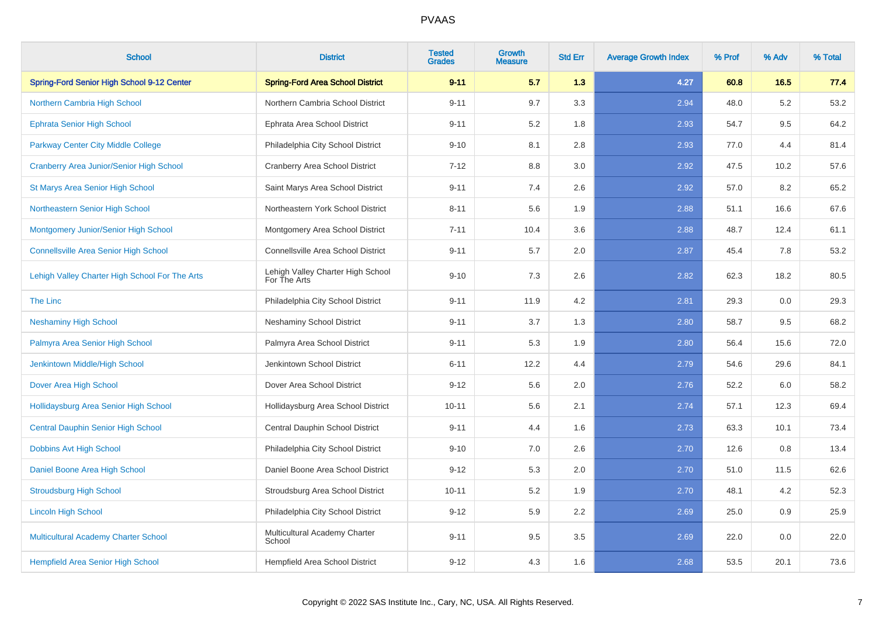| <b>School</b>                                   | <b>District</b>                                   | <b>Tested</b><br><b>Grades</b> | <b>Growth</b><br><b>Measure</b> | <b>Std Err</b> | <b>Average Growth Index</b> | % Prof | % Adv | % Total |
|-------------------------------------------------|---------------------------------------------------|--------------------------------|---------------------------------|----------------|-----------------------------|--------|-------|---------|
| Spring-Ford Senior High School 9-12 Center      | <b>Spring-Ford Area School District</b>           | $9 - 11$                       | 5.7                             | 1.3            | 4.27                        | 60.8   | 16.5  | 77.4    |
| Northern Cambria High School                    | Northern Cambria School District                  | $9 - 11$                       | 9.7                             | 3.3            | 2.94                        | 48.0   | 5.2   | 53.2    |
| <b>Ephrata Senior High School</b>               | Ephrata Area School District                      | $9 - 11$                       | 5.2                             | 1.8            | 2.93                        | 54.7   | 9.5   | 64.2    |
| Parkway Center City Middle College              | Philadelphia City School District                 | $9 - 10$                       | 8.1                             | 2.8            | 2.93                        | 77.0   | 4.4   | 81.4    |
| <b>Cranberry Area Junior/Senior High School</b> | Cranberry Area School District                    | $7 - 12$                       | 8.8                             | 3.0            | 2.92                        | 47.5   | 10.2  | 57.6    |
| St Marys Area Senior High School                | Saint Marys Area School District                  | $9 - 11$                       | 7.4                             | 2.6            | 2.92                        | 57.0   | 8.2   | 65.2    |
| Northeastern Senior High School                 | Northeastern York School District                 | $8 - 11$                       | 5.6                             | 1.9            | 2.88                        | 51.1   | 16.6  | 67.6    |
| Montgomery Junior/Senior High School            | Montgomery Area School District                   | $7 - 11$                       | 10.4                            | 3.6            | 2.88                        | 48.7   | 12.4  | 61.1    |
| <b>Connellsville Area Senior High School</b>    | Connellsville Area School District                | $9 - 11$                       | $5.7\,$                         | 2.0            | 2.87                        | 45.4   | 7.8   | 53.2    |
| Lehigh Valley Charter High School For The Arts  | Lehigh Valley Charter High School<br>For The Arts | $9 - 10$                       | 7.3                             | 2.6            | 2.82                        | 62.3   | 18.2  | 80.5    |
| The Linc                                        | Philadelphia City School District                 | $9 - 11$                       | 11.9                            | 4.2            | 2.81                        | 29.3   | 0.0   | 29.3    |
| <b>Neshaminy High School</b>                    | <b>Neshaminy School District</b>                  | $9 - 11$                       | 3.7                             | 1.3            | 2.80                        | 58.7   | 9.5   | 68.2    |
| Palmyra Area Senior High School                 | Palmyra Area School District                      | $9 - 11$                       | 5.3                             | 1.9            | 2.80                        | 56.4   | 15.6  | 72.0    |
| Jenkintown Middle/High School                   | Jenkintown School District                        | $6 - 11$                       | 12.2                            | 4.4            | 2.79                        | 54.6   | 29.6  | 84.1    |
| Dover Area High School                          | Dover Area School District                        | $9 - 12$                       | 5.6                             | 2.0            | 2.76                        | 52.2   | 6.0   | 58.2    |
| Hollidaysburg Area Senior High School           | Hollidaysburg Area School District                | $10 - 11$                      | 5.6                             | 2.1            | 2.74                        | 57.1   | 12.3  | 69.4    |
| <b>Central Dauphin Senior High School</b>       | Central Dauphin School District                   | $9 - 11$                       | 4.4                             | 1.6            | 2.73                        | 63.3   | 10.1  | 73.4    |
| <b>Dobbins Avt High School</b>                  | Philadelphia City School District                 | $9 - 10$                       | 7.0                             | 2.6            | 2.70                        | 12.6   | 0.8   | 13.4    |
| Daniel Boone Area High School                   | Daniel Boone Area School District                 | $9 - 12$                       | 5.3                             | 2.0            | 2.70                        | 51.0   | 11.5  | 62.6    |
| <b>Stroudsburg High School</b>                  | Stroudsburg Area School District                  | $10 - 11$                      | 5.2                             | 1.9            | 2.70                        | 48.1   | 4.2   | 52.3    |
| <b>Lincoln High School</b>                      | Philadelphia City School District                 | $9 - 12$                       | 5.9                             | $2.2\,$        | 2.69                        | 25.0   | 0.9   | 25.9    |
| Multicultural Academy Charter School            | Multicultural Academy Charter<br>School           | $9 - 11$                       | 9.5                             | 3.5            | 2.69                        | 22.0   | 0.0   | 22.0    |
| <b>Hempfield Area Senior High School</b>        | <b>Hempfield Area School District</b>             | $9 - 12$                       | 4.3                             | 1.6            | 2.68                        | 53.5   | 20.1  | 73.6    |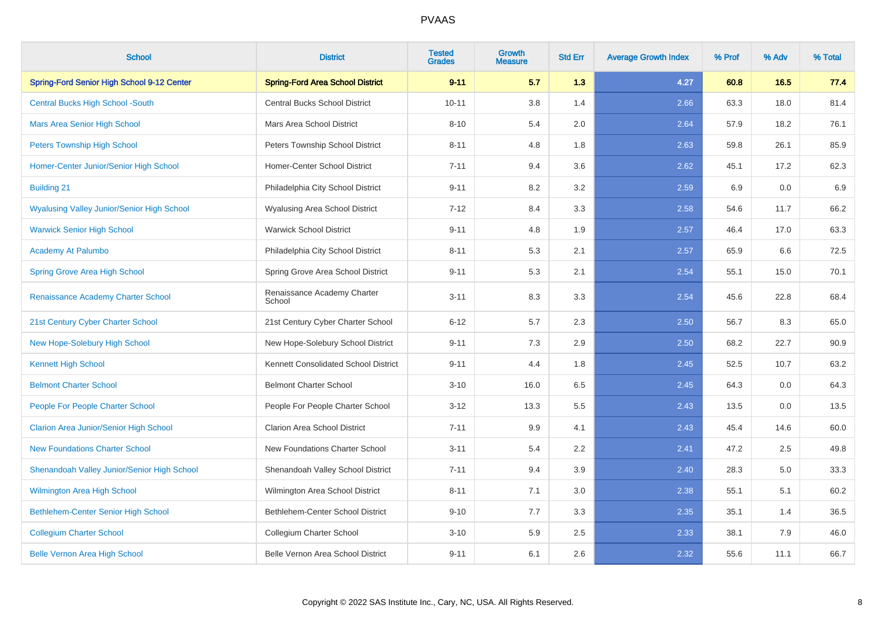| <b>School</b>                                     | <b>District</b>                         | <b>Tested</b><br><b>Grades</b> | <b>Growth</b><br><b>Measure</b> | <b>Std Err</b> | <b>Average Growth Index</b> | % Prof | % Adv | % Total |
|---------------------------------------------------|-----------------------------------------|--------------------------------|---------------------------------|----------------|-----------------------------|--------|-------|---------|
| Spring-Ford Senior High School 9-12 Center        | <b>Spring-Ford Area School District</b> | $9 - 11$                       | 5.7                             | 1.3            | 4.27                        | 60.8   | 16.5  | 77.4    |
| <b>Central Bucks High School -South</b>           | <b>Central Bucks School District</b>    | $10 - 11$                      | 3.8                             | 1.4            | 2.66                        | 63.3   | 18.0  | 81.4    |
| <b>Mars Area Senior High School</b>               | Mars Area School District               | $8 - 10$                       | 5.4                             | 2.0            | 2.64                        | 57.9   | 18.2  | 76.1    |
| <b>Peters Township High School</b>                | Peters Township School District         | $8 - 11$                       | 4.8                             | 1.8            | 2.63                        | 59.8   | 26.1  | 85.9    |
| Homer-Center Junior/Senior High School            | Homer-Center School District            | $7 - 11$                       | 9.4                             | 3.6            | 2.62                        | 45.1   | 17.2  | 62.3    |
| <b>Building 21</b>                                | Philadelphia City School District       | $9 - 11$                       | 8.2                             | 3.2            | 2.59                        | 6.9    | 0.0   | 6.9     |
| <b>Wyalusing Valley Junior/Senior High School</b> | Wyalusing Area School District          | $7 - 12$                       | 8.4                             | 3.3            | 2.58                        | 54.6   | 11.7  | 66.2    |
| <b>Warwick Senior High School</b>                 | <b>Warwick School District</b>          | $9 - 11$                       | 4.8                             | 1.9            | 2.57                        | 46.4   | 17.0  | 63.3    |
| Academy At Palumbo                                | Philadelphia City School District       | $8 - 11$                       | 5.3                             | 2.1            | 2.57                        | 65.9   | 6.6   | 72.5    |
| <b>Spring Grove Area High School</b>              | Spring Grove Area School District       | $9 - 11$                       | 5.3                             | 2.1            | 2.54                        | 55.1   | 15.0  | 70.1    |
| Renaissance Academy Charter School                | Renaissance Academy Charter<br>School   | $3 - 11$                       | 8.3                             | 3.3            | 2.54                        | 45.6   | 22.8  | 68.4    |
| 21st Century Cyber Charter School                 | 21st Century Cyber Charter School       | $6 - 12$                       | 5.7                             | 2.3            | 2.50                        | 56.7   | 8.3   | 65.0    |
| New Hope-Solebury High School                     | New Hope-Solebury School District       | $9 - 11$                       | 7.3                             | 2.9            | 2.50                        | 68.2   | 22.7  | 90.9    |
| <b>Kennett High School</b>                        | Kennett Consolidated School District    | $9 - 11$                       | 4.4                             | 1.8            | 2.45                        | 52.5   | 10.7  | 63.2    |
| <b>Belmont Charter School</b>                     | <b>Belmont Charter School</b>           | $3 - 10$                       | 16.0                            | 6.5            | 2.45                        | 64.3   | 0.0   | 64.3    |
| People For People Charter School                  | People For People Charter School        | $3 - 12$                       | 13.3                            | 5.5            | 2.43                        | 13.5   | 0.0   | 13.5    |
| <b>Clarion Area Junior/Senior High School</b>     | <b>Clarion Area School District</b>     | $7 - 11$                       | 9.9                             | 4.1            | 2.43                        | 45.4   | 14.6  | 60.0    |
| <b>New Foundations Charter School</b>             | New Foundations Charter School          | $3 - 11$                       | 5.4                             | 2.2            | 2.41                        | 47.2   | 2.5   | 49.8    |
| Shenandoah Valley Junior/Senior High School       | Shenandoah Valley School District       | $7 - 11$                       | 9.4                             | 3.9            | 2.40                        | 28.3   | 5.0   | 33.3    |
| <b>Wilmington Area High School</b>                | Wilmington Area School District         | $8 - 11$                       | 7.1                             | 3.0            | 2.38                        | 55.1   | 5.1   | 60.2    |
| Bethlehem-Center Senior High School               | Bethlehem-Center School District        | $9 - 10$                       | 7.7                             | 3.3            | 2.35                        | 35.1   | 1.4   | 36.5    |
| <b>Collegium Charter School</b>                   | Collegium Charter School                | $3 - 10$                       | 5.9                             | 2.5            | 2.33                        | 38.1   | 7.9   | 46.0    |
| <b>Belle Vernon Area High School</b>              | Belle Vernon Area School District       | $9 - 11$                       | 6.1                             | 2.6            | 2.32                        | 55.6   | 11.1  | 66.7    |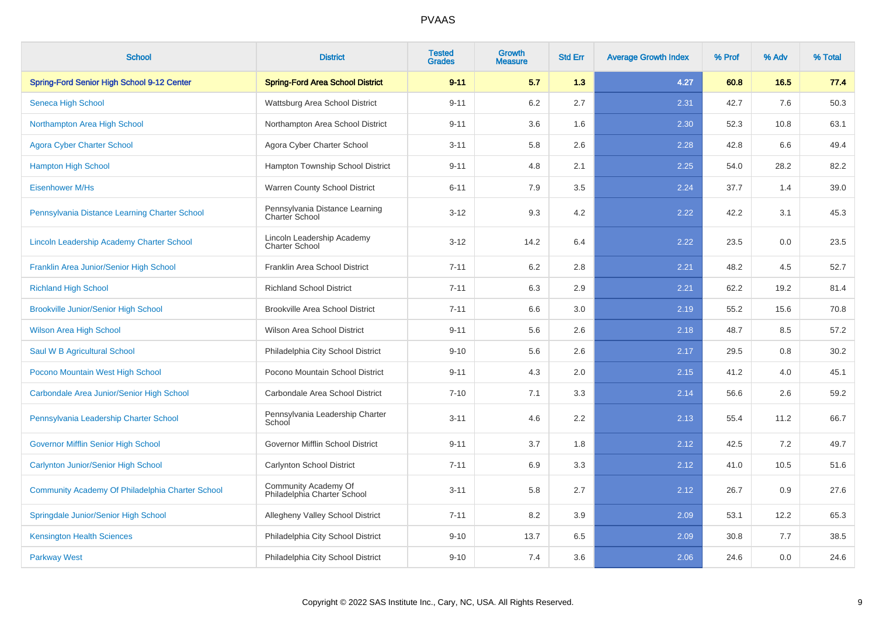| <b>School</b>                                    | <b>District</b>                                         | <b>Tested</b><br><b>Grades</b> | Growth<br><b>Measure</b> | <b>Std Err</b> | <b>Average Growth Index</b> | % Prof | % Adv | % Total |
|--------------------------------------------------|---------------------------------------------------------|--------------------------------|--------------------------|----------------|-----------------------------|--------|-------|---------|
| Spring-Ford Senior High School 9-12 Center       | <b>Spring-Ford Area School District</b>                 | $9 - 11$                       | 5.7                      | 1.3            | 4.27                        | 60.8   | 16.5  | 77.4    |
| Seneca High School                               | Wattsburg Area School District                          | $9 - 11$                       | 6.2                      | 2.7            | 2.31                        | 42.7   | 7.6   | 50.3    |
| Northampton Area High School                     | Northampton Area School District                        | $9 - 11$                       | 3.6                      | 1.6            | 2.30                        | 52.3   | 10.8  | 63.1    |
| <b>Agora Cyber Charter School</b>                | Agora Cyber Charter School                              | $3 - 11$                       | 5.8                      | 2.6            | 2.28                        | 42.8   | 6.6   | 49.4    |
| <b>Hampton High School</b>                       | Hampton Township School District                        | $9 - 11$                       | 4.8                      | 2.1            | 2.25                        | 54.0   | 28.2  | 82.2    |
| <b>Eisenhower M/Hs</b>                           | Warren County School District                           | $6 - 11$                       | 7.9                      | 3.5            | 2.24                        | 37.7   | 1.4   | 39.0    |
| Pennsylvania Distance Learning Charter School    | Pennsylvania Distance Learning<br><b>Charter School</b> | $3 - 12$                       | 9.3                      | 4.2            | 2.22                        | 42.2   | 3.1   | 45.3    |
| Lincoln Leadership Academy Charter School        | Lincoln Leadership Academy<br><b>Charter School</b>     | $3 - 12$                       | 14.2                     | 6.4            | 2.22                        | 23.5   | 0.0   | 23.5    |
| Franklin Area Junior/Senior High School          | Franklin Area School District                           | $7 - 11$                       | 6.2                      | 2.8            | 2.21                        | 48.2   | 4.5   | 52.7    |
| <b>Richland High School</b>                      | <b>Richland School District</b>                         | $7 - 11$                       | 6.3                      | 2.9            | 2.21                        | 62.2   | 19.2  | 81.4    |
| <b>Brookville Junior/Senior High School</b>      | <b>Brookville Area School District</b>                  | $7 - 11$                       | 6.6                      | 3.0            | 2.19                        | 55.2   | 15.6  | 70.8    |
| <b>Wilson Area High School</b>                   | Wilson Area School District                             | $9 - 11$                       | 5.6                      | 2.6            | 2.18                        | 48.7   | 8.5   | 57.2    |
| Saul W B Agricultural School                     | Philadelphia City School District                       | $9 - 10$                       | 5.6                      | 2.6            | 2.17                        | 29.5   | 0.8   | 30.2    |
| Pocono Mountain West High School                 | Pocono Mountain School District                         | $9 - 11$                       | 4.3                      | 2.0            | 2.15                        | 41.2   | 4.0   | 45.1    |
| Carbondale Area Junior/Senior High School        | Carbondale Area School District                         | $7 - 10$                       | 7.1                      | 3.3            | 2.14                        | 56.6   | 2.6   | 59.2    |
| Pennsylvania Leadership Charter School           | Pennsylvania Leadership Charter<br>School               | $3 - 11$                       | 4.6                      | 2.2            | 2.13                        | 55.4   | 11.2  | 66.7    |
| <b>Governor Mifflin Senior High School</b>       | Governor Mifflin School District                        | $9 - 11$                       | 3.7                      | 1.8            | 2.12                        | 42.5   | 7.2   | 49.7    |
| <b>Carlynton Junior/Senior High School</b>       | Carlynton School District                               | $7 - 11$                       | 6.9                      | 3.3            | 2.12                        | 41.0   | 10.5  | 51.6    |
| Community Academy Of Philadelphia Charter School | Community Academy Of<br>Philadelphia Charter School     | $3 - 11$                       | 5.8                      | 2.7            | 2.12                        | 26.7   | 0.9   | 27.6    |
| Springdale Junior/Senior High School             | Allegheny Valley School District                        | $7 - 11$                       | 8.2                      | 3.9            | 2.09                        | 53.1   | 12.2  | 65.3    |
| <b>Kensington Health Sciences</b>                | Philadelphia City School District                       | $9 - 10$                       | 13.7                     | 6.5            | 2.09                        | 30.8   | 7.7   | 38.5    |
| <b>Parkway West</b>                              | Philadelphia City School District                       | $9 - 10$                       | 7.4                      | 3.6            | 2.06                        | 24.6   | 0.0   | 24.6    |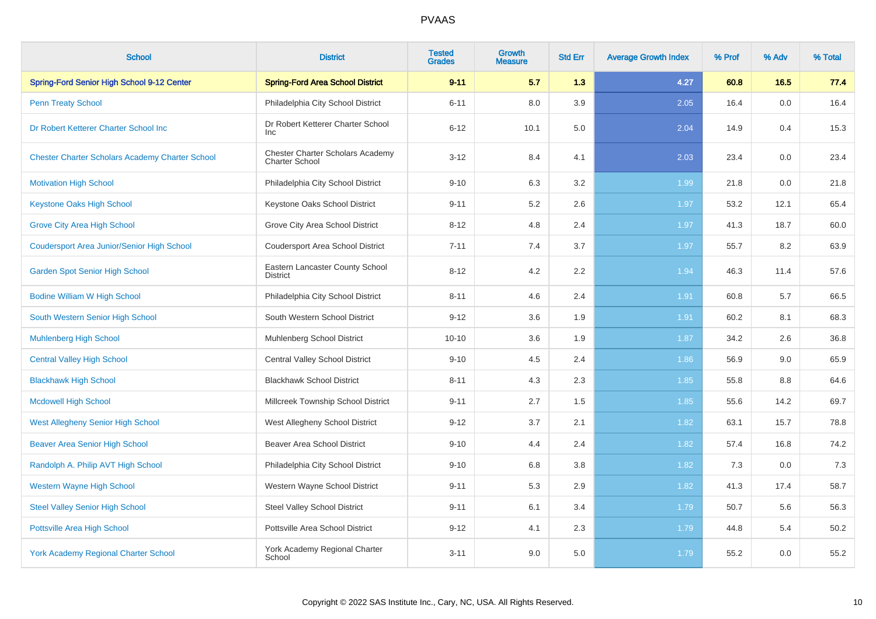| <b>School</b>                                          | <b>District</b>                                           | <b>Tested</b><br><b>Grades</b> | <b>Growth</b><br><b>Measure</b> | <b>Std Err</b> | <b>Average Growth Index</b> | % Prof | % Adv | % Total |
|--------------------------------------------------------|-----------------------------------------------------------|--------------------------------|---------------------------------|----------------|-----------------------------|--------|-------|---------|
| Spring-Ford Senior High School 9-12 Center             | <b>Spring-Ford Area School District</b>                   | $9 - 11$                       | 5.7                             | 1.3            | 4.27                        | 60.8   | 16.5  | 77.4    |
| <b>Penn Treaty School</b>                              | Philadelphia City School District                         | $6 - 11$                       | 8.0                             | 3.9            | 2.05                        | 16.4   | 0.0   | 16.4    |
| Dr Robert Ketterer Charter School Inc                  | Dr Robert Ketterer Charter School<br><b>Inc</b>           | $6 - 12$                       | 10.1                            | 5.0            | 2.04                        | 14.9   | 0.4   | 15.3    |
| <b>Chester Charter Scholars Academy Charter School</b> | Chester Charter Scholars Academy<br><b>Charter School</b> | $3 - 12$                       | 8.4                             | 4.1            | 2.03                        | 23.4   | 0.0   | 23.4    |
| <b>Motivation High School</b>                          | Philadelphia City School District                         | $9 - 10$                       | 6.3                             | 3.2            | 1.99                        | 21.8   | 0.0   | 21.8    |
| <b>Keystone Oaks High School</b>                       | Keystone Oaks School District                             | $9 - 11$                       | 5.2                             | 2.6            | 1.97                        | 53.2   | 12.1  | 65.4    |
| <b>Grove City Area High School</b>                     | Grove City Area School District                           | $8 - 12$                       | 4.8                             | 2.4            | 1.97                        | 41.3   | 18.7  | 60.0    |
| <b>Coudersport Area Junior/Senior High School</b>      | <b>Coudersport Area School District</b>                   | $7 - 11$                       | 7.4                             | 3.7            | 1.97                        | 55.7   | 8.2   | 63.9    |
| <b>Garden Spot Senior High School</b>                  | Eastern Lancaster County School<br><b>District</b>        | $8 - 12$                       | 4.2                             | 2.2            | 1.94                        | 46.3   | 11.4  | 57.6    |
| <b>Bodine William W High School</b>                    | Philadelphia City School District                         | $8 - 11$                       | 4.6                             | 2.4            | 1.91                        | 60.8   | 5.7   | 66.5    |
| South Western Senior High School                       | South Western School District                             | $9 - 12$                       | 3.6                             | 1.9            | 1.91                        | 60.2   | 8.1   | 68.3    |
| <b>Muhlenberg High School</b>                          | Muhlenberg School District                                | $10 - 10$                      | 3.6                             | 1.9            | 1.87                        | 34.2   | 2.6   | 36.8    |
| <b>Central Valley High School</b>                      | <b>Central Valley School District</b>                     | $9 - 10$                       | 4.5                             | 2.4            | 1.86                        | 56.9   | 9.0   | 65.9    |
| <b>Blackhawk High School</b>                           | <b>Blackhawk School District</b>                          | $8 - 11$                       | 4.3                             | 2.3            | 1.85                        | 55.8   | 8.8   | 64.6    |
| <b>Mcdowell High School</b>                            | Millcreek Township School District                        | $9 - 11$                       | 2.7                             | 1.5            | 1.85                        | 55.6   | 14.2  | 69.7    |
| <b>West Allegheny Senior High School</b>               | West Allegheny School District                            | $9 - 12$                       | 3.7                             | 2.1            | 1.82                        | 63.1   | 15.7  | 78.8    |
| <b>Beaver Area Senior High School</b>                  | <b>Beaver Area School District</b>                        | $9 - 10$                       | 4.4                             | 2.4            | 1.82                        | 57.4   | 16.8  | 74.2    |
| Randolph A. Philip AVT High School                     | Philadelphia City School District                         | $9 - 10$                       | 6.8                             | 3.8            | 1.82                        | 7.3    | 0.0   | 7.3     |
| <b>Western Wayne High School</b>                       | Western Wayne School District                             | $9 - 11$                       | 5.3                             | 2.9            | 1.82                        | 41.3   | 17.4  | 58.7    |
| <b>Steel Valley Senior High School</b>                 | <b>Steel Valley School District</b>                       | $9 - 11$                       | 6.1                             | 3.4            | 1.79                        | 50.7   | 5.6   | 56.3    |
| Pottsville Area High School                            | Pottsville Area School District                           | $9 - 12$                       | 4.1                             | 2.3            | 1.79                        | 44.8   | 5.4   | 50.2    |
| <b>York Academy Regional Charter School</b>            | York Academy Regional Charter<br>School                   | $3 - 11$                       | 9.0                             | 5.0            | 1.79                        | 55.2   | 0.0   | 55.2    |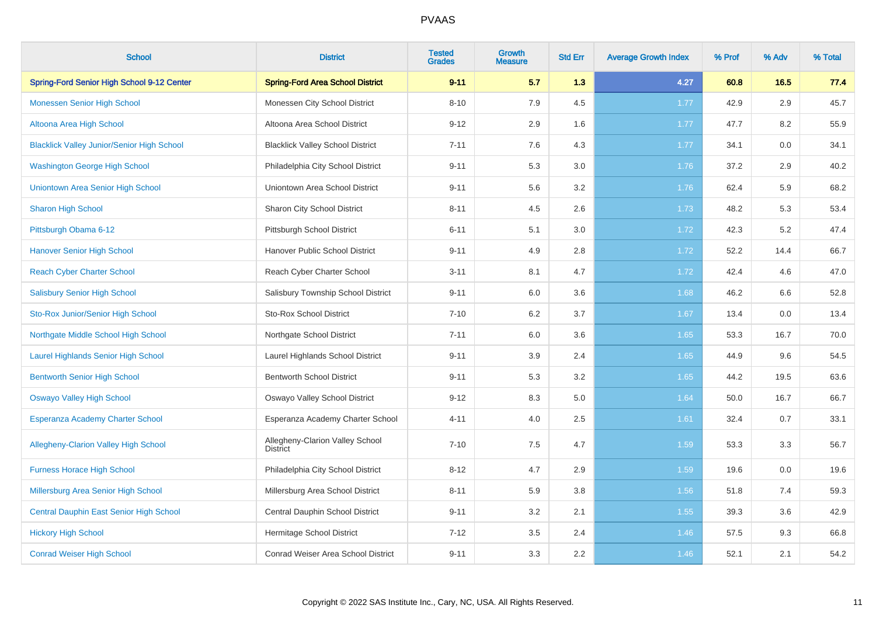| <b>School</b>                                     | <b>District</b>                                    | <b>Tested</b><br><b>Grades</b> | <b>Growth</b><br><b>Measure</b> | <b>Std Err</b> | <b>Average Growth Index</b> | % Prof | % Adv | % Total |
|---------------------------------------------------|----------------------------------------------------|--------------------------------|---------------------------------|----------------|-----------------------------|--------|-------|---------|
| Spring-Ford Senior High School 9-12 Center        | <b>Spring-Ford Area School District</b>            | $9 - 11$                       | 5.7                             | 1.3            | 4.27                        | 60.8   | 16.5  | 77.4    |
| <b>Monessen Senior High School</b>                | Monessen City School District                      | $8 - 10$                       | 7.9                             | 4.5            | 1.77                        | 42.9   | 2.9   | 45.7    |
| Altoona Area High School                          | Altoona Area School District                       | $9 - 12$                       | 2.9                             | 1.6            | 1.77                        | 47.7   | 8.2   | 55.9    |
| <b>Blacklick Valley Junior/Senior High School</b> | <b>Blacklick Valley School District</b>            | $7 - 11$                       | 7.6                             | 4.3            | 1.77                        | 34.1   | 0.0   | 34.1    |
| <b>Washington George High School</b>              | Philadelphia City School District                  | $9 - 11$                       | 5.3                             | 3.0            | 1.76                        | 37.2   | 2.9   | 40.2    |
| Uniontown Area Senior High School                 | Uniontown Area School District                     | $9 - 11$                       | 5.6                             | 3.2            | 1.76                        | 62.4   | 5.9   | 68.2    |
| <b>Sharon High School</b>                         | Sharon City School District                        | $8 - 11$                       | 4.5                             | 2.6            | 1.73                        | 48.2   | 5.3   | 53.4    |
| Pittsburgh Obama 6-12                             | Pittsburgh School District                         | $6 - 11$                       | 5.1                             | 3.0            | 1.72                        | 42.3   | 5.2   | 47.4    |
| <b>Hanover Senior High School</b>                 | Hanover Public School District                     | $9 - 11$                       | 4.9                             | 2.8            | 1.72                        | 52.2   | 14.4  | 66.7    |
| <b>Reach Cyber Charter School</b>                 | Reach Cyber Charter School                         | $3 - 11$                       | 8.1                             | 4.7            | 1.72                        | 42.4   | 4.6   | 47.0    |
| <b>Salisbury Senior High School</b>               | Salisbury Township School District                 | $9 - 11$                       | 6.0                             | 3.6            | 1.68                        | 46.2   | 6.6   | 52.8    |
| Sto-Rox Junior/Senior High School                 | <b>Sto-Rox School District</b>                     | $7 - 10$                       | 6.2                             | 3.7            | 1.67                        | 13.4   | 0.0   | 13.4    |
| Northgate Middle School High School               | Northgate School District                          | $7 - 11$                       | 6.0                             | 3.6            | 1.65                        | 53.3   | 16.7  | 70.0    |
| Laurel Highlands Senior High School               | Laurel Highlands School District                   | $9 - 11$                       | 3.9                             | 2.4            | 1.65                        | 44.9   | 9.6   | 54.5    |
| <b>Bentworth Senior High School</b>               | <b>Bentworth School District</b>                   | $9 - 11$                       | 5.3                             | 3.2            | 1.65                        | 44.2   | 19.5  | 63.6    |
| <b>Oswayo Valley High School</b>                  | Oswayo Valley School District                      | $9 - 12$                       | 8.3                             | 5.0            | 1.64                        | 50.0   | 16.7  | 66.7    |
| <b>Esperanza Academy Charter School</b>           | Esperanza Academy Charter School                   | $4 - 11$                       | 4.0                             | 2.5            | 1.61                        | 32.4   | 0.7   | 33.1    |
| <b>Allegheny-Clarion Valley High School</b>       | Allegheny-Clarion Valley School<br><b>District</b> | $7 - 10$                       | 7.5                             | 4.7            | 1.59                        | 53.3   | 3.3   | 56.7    |
| <b>Furness Horace High School</b>                 | Philadelphia City School District                  | $8 - 12$                       | 4.7                             | 2.9            | 1.59                        | 19.6   | 0.0   | 19.6    |
| Millersburg Area Senior High School               | Millersburg Area School District                   | $8 - 11$                       | 5.9                             | 3.8            | 1.56                        | 51.8   | 7.4   | 59.3    |
| Central Dauphin East Senior High School           | Central Dauphin School District                    | $9 - 11$                       | 3.2                             | 2.1            | 1.55                        | 39.3   | 3.6   | 42.9    |
| <b>Hickory High School</b>                        | Hermitage School District                          | $7 - 12$                       | 3.5                             | 2.4            | 1.46                        | 57.5   | 9.3   | 66.8    |
| <b>Conrad Weiser High School</b>                  | Conrad Weiser Area School District                 | $9 - 11$                       | 3.3                             | 2.2            | 1.46                        | 52.1   | 2.1   | 54.2    |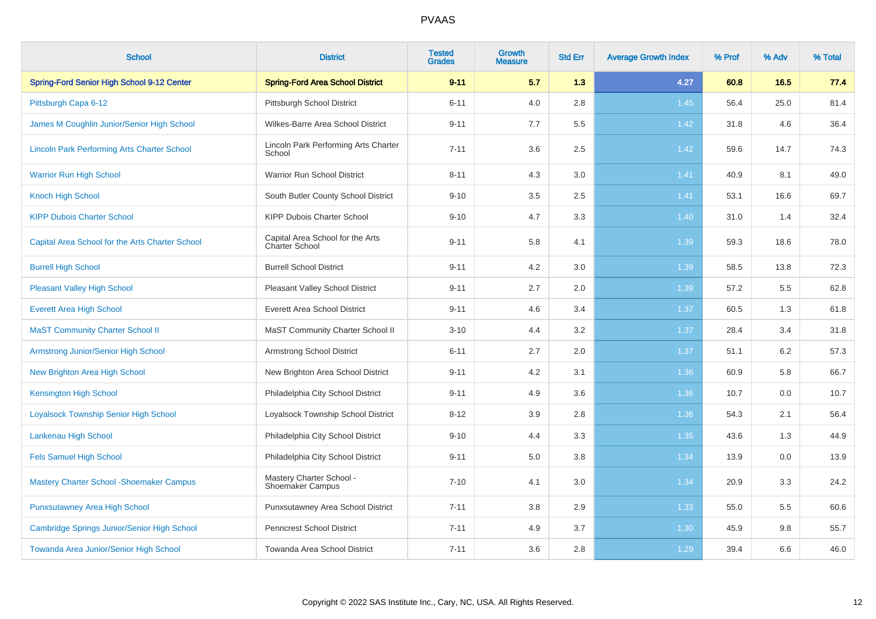| <b>School</b>                                      | <b>District</b>                                     | <b>Tested</b><br><b>Grades</b> | <b>Growth</b><br><b>Measure</b> | <b>Std Err</b> | <b>Average Growth Index</b> | % Prof | % Adv | % Total |
|----------------------------------------------------|-----------------------------------------------------|--------------------------------|---------------------------------|----------------|-----------------------------|--------|-------|---------|
| Spring-Ford Senior High School 9-12 Center         | <b>Spring-Ford Area School District</b>             | $9 - 11$                       | 5.7                             | 1.3            | 4.27                        | 60.8   | 16.5  | 77.4    |
| Pittsburgh Capa 6-12                               | Pittsburgh School District                          | $6 - 11$                       | 4.0                             | 2.8            | 1.45                        | 56.4   | 25.0  | 81.4    |
| James M Coughlin Junior/Senior High School         | Wilkes-Barre Area School District                   | $9 - 11$                       | 7.7                             | 5.5            | 1.42                        | 31.8   | 4.6   | 36.4    |
| <b>Lincoln Park Performing Arts Charter School</b> | Lincoln Park Performing Arts Charter<br>School      | $7 - 11$                       | 3.6                             | 2.5            | 1.42                        | 59.6   | 14.7  | 74.3    |
| <b>Warrior Run High School</b>                     | Warrior Run School District                         | $8 - 11$                       | 4.3                             | 3.0            | 1.41                        | 40.9   | 8.1   | 49.0    |
| <b>Knoch High School</b>                           | South Butler County School District                 | $9 - 10$                       | 3.5                             | 2.5            | 1.41                        | 53.1   | 16.6  | 69.7    |
| <b>KIPP Dubois Charter School</b>                  | KIPP Dubois Charter School                          | $9 - 10$                       | 4.7                             | 3.3            | 1.40                        | 31.0   | 1.4   | 32.4    |
| Capital Area School for the Arts Charter School    | Capital Area School for the Arts<br>Charter School  | $9 - 11$                       | 5.8                             | 4.1            | 1.39                        | 59.3   | 18.6  | 78.0    |
| <b>Burrell High School</b>                         | <b>Burrell School District</b>                      | $9 - 11$                       | 4.2                             | 3.0            | 1.39                        | 58.5   | 13.8  | 72.3    |
| <b>Pleasant Valley High School</b>                 | Pleasant Valley School District                     | $9 - 11$                       | 2.7                             | 2.0            | 1.39                        | 57.2   | 5.5   | 62.8    |
| <b>Everett Area High School</b>                    | <b>Everett Area School District</b>                 | $9 - 11$                       | 4.6                             | 3.4            | 1.37                        | 60.5   | 1.3   | 61.8    |
| <b>MaST Community Charter School II</b>            | MaST Community Charter School II                    | $3 - 10$                       | 4.4                             | 3.2            | 1.37                        | 28.4   | 3.4   | 31.8    |
| Armstrong Junior/Senior High School                | <b>Armstrong School District</b>                    | $6 - 11$                       | 2.7                             | 2.0            | 1.37                        | 51.1   | 6.2   | 57.3    |
| New Brighton Area High School                      | New Brighton Area School District                   | $9 - 11$                       | 4.2                             | 3.1            | 1.36                        | 60.9   | 5.8   | 66.7    |
| <b>Kensington High School</b>                      | Philadelphia City School District                   | $9 - 11$                       | 4.9                             | 3.6            | 1.36                        | 10.7   | 0.0   | 10.7    |
| <b>Loyalsock Township Senior High School</b>       | Loyalsock Township School District                  | $8 - 12$                       | 3.9                             | 2.8            | 1.36                        | 54.3   | 2.1   | 56.4    |
| Lankenau High School                               | Philadelphia City School District                   | $9 - 10$                       | 4.4                             | 3.3            | 1.35                        | 43.6   | 1.3   | 44.9    |
| <b>Fels Samuel High School</b>                     | Philadelphia City School District                   | $9 - 11$                       | 5.0                             | 3.8            | 1.34                        | 13.9   | 0.0   | 13.9    |
| <b>Mastery Charter School - Shoemaker Campus</b>   | Mastery Charter School -<br><b>Shoemaker Campus</b> | $7 - 10$                       | 4.1                             | 3.0            | 1.34                        | 20.9   | 3.3   | 24.2    |
| <b>Punxsutawney Area High School</b>               | Punxsutawney Area School District                   | $7 - 11$                       | 3.8                             | 2.9            | 1.33                        | 55.0   | 5.5   | 60.6    |
| Cambridge Springs Junior/Senior High School        | <b>Penncrest School District</b>                    | $7 - 11$                       | 4.9                             | 3.7            | 1.30                        | 45.9   | 9.8   | 55.7    |
| Towanda Area Junior/Senior High School             | Towanda Area School District                        | $7 - 11$                       | 3.6                             | 2.8            | 1.29                        | 39.4   | 6.6   | 46.0    |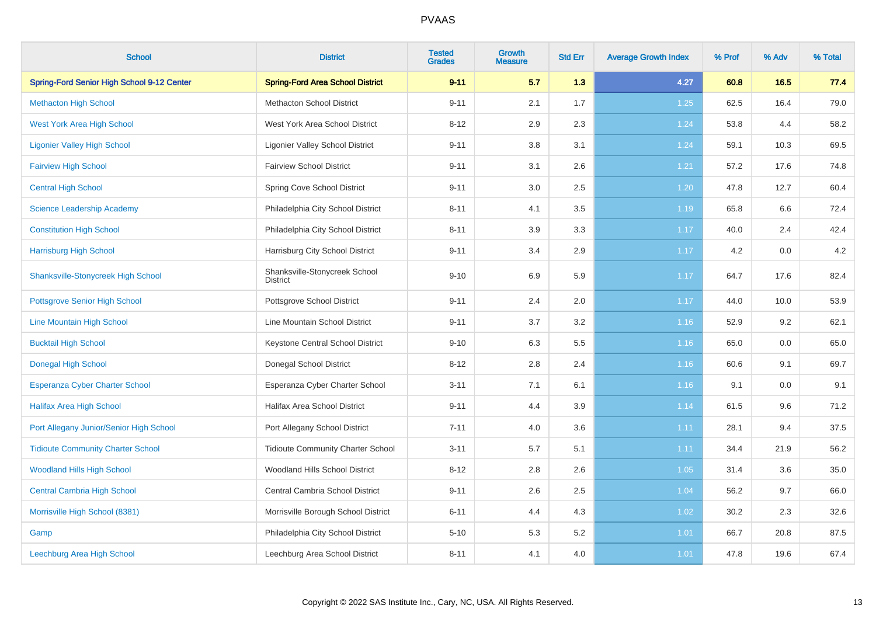| <b>School</b>                              | <b>District</b>                                  | <b>Tested</b><br><b>Grades</b> | <b>Growth</b><br><b>Measure</b> | <b>Std Err</b> | <b>Average Growth Index</b> | % Prof | % Adv | % Total |
|--------------------------------------------|--------------------------------------------------|--------------------------------|---------------------------------|----------------|-----------------------------|--------|-------|---------|
| Spring-Ford Senior High School 9-12 Center | <b>Spring-Ford Area School District</b>          | $9 - 11$                       | 5.7                             | 1.3            | 4.27                        | 60.8   | 16.5  | 77.4    |
| <b>Methacton High School</b>               | <b>Methacton School District</b>                 | $9 - 11$                       | 2.1                             | 1.7            | 1.25                        | 62.5   | 16.4  | 79.0    |
| <b>West York Area High School</b>          | West York Area School District                   | $8 - 12$                       | 2.9                             | 2.3            | 1.24                        | 53.8   | 4.4   | 58.2    |
| <b>Ligonier Valley High School</b>         | <b>Ligonier Valley School District</b>           | $9 - 11$                       | 3.8                             | 3.1            | 1.24                        | 59.1   | 10.3  | 69.5    |
| <b>Fairview High School</b>                | <b>Fairview School District</b>                  | $9 - 11$                       | 3.1                             | 2.6            | 1.21                        | 57.2   | 17.6  | 74.8    |
| <b>Central High School</b>                 | Spring Cove School District                      | $9 - 11$                       | 3.0                             | 2.5            | 1.20                        | 47.8   | 12.7  | 60.4    |
| <b>Science Leadership Academy</b>          | Philadelphia City School District                | $8 - 11$                       | 4.1                             | 3.5            | 1.19                        | 65.8   | 6.6   | 72.4    |
| <b>Constitution High School</b>            | Philadelphia City School District                | $8 - 11$                       | 3.9                             | 3.3            | 1.17                        | 40.0   | 2.4   | 42.4    |
| <b>Harrisburg High School</b>              | Harrisburg City School District                  | $9 - 11$                       | 3.4                             | 2.9            | 1.17                        | 4.2    | 0.0   | 4.2     |
| <b>Shanksville-Stonycreek High School</b>  | Shanksville-Stonycreek School<br><b>District</b> | $9 - 10$                       | 6.9                             | 5.9            | 1.17                        | 64.7   | 17.6  | 82.4    |
| <b>Pottsgrove Senior High School</b>       | Pottsgrove School District                       | $9 - 11$                       | 2.4                             | 2.0            | 1.17                        | 44.0   | 10.0  | 53.9    |
| Line Mountain High School                  | Line Mountain School District                    | $9 - 11$                       | 3.7                             | $3.2\,$        | 1.16                        | 52.9   | 9.2   | 62.1    |
| <b>Bucktail High School</b>                | Keystone Central School District                 | $9 - 10$                       | 6.3                             | 5.5            | 1.16                        | 65.0   | 0.0   | 65.0    |
| <b>Donegal High School</b>                 | Donegal School District                          | $8 - 12$                       | 2.8                             | 2.4            | 1.16                        | 60.6   | 9.1   | 69.7    |
| <b>Esperanza Cyber Charter School</b>      | Esperanza Cyber Charter School                   | $3 - 11$                       | 7.1                             | 6.1            | 1.16                        | 9.1    | 0.0   | 9.1     |
| <b>Halifax Area High School</b>            | <b>Halifax Area School District</b>              | $9 - 11$                       | 4.4                             | 3.9            | 1.14                        | 61.5   | 9.6   | 71.2    |
| Port Allegany Junior/Senior High School    | Port Allegany School District                    | $7 - 11$                       | 4.0                             | 3.6            | 1.11                        | 28.1   | 9.4   | 37.5    |
| <b>Tidioute Community Charter School</b>   | <b>Tidioute Community Charter School</b>         | $3 - 11$                       | 5.7                             | 5.1            | 1.11                        | 34.4   | 21.9  | 56.2    |
| <b>Woodland Hills High School</b>          | Woodland Hills School District                   | $8 - 12$                       | 2.8                             | 2.6            | 1.05                        | 31.4   | 3.6   | 35.0    |
| <b>Central Cambria High School</b>         | Central Cambria School District                  | $9 - 11$                       | 2.6                             | 2.5            | 1.04                        | 56.2   | 9.7   | 66.0    |
| Morrisville High School (8381)             | Morrisville Borough School District              | $6 - 11$                       | 4.4                             | 4.3            | 1.02                        | 30.2   | 2.3   | 32.6    |
| Gamp                                       | Philadelphia City School District                | $5 - 10$                       | 5.3                             | 5.2            | 1.01                        | 66.7   | 20.8  | 87.5    |
| Leechburg Area High School                 | Leechburg Area School District                   | $8 - 11$                       | 4.1                             | 4.0            | 1.01                        | 47.8   | 19.6  | 67.4    |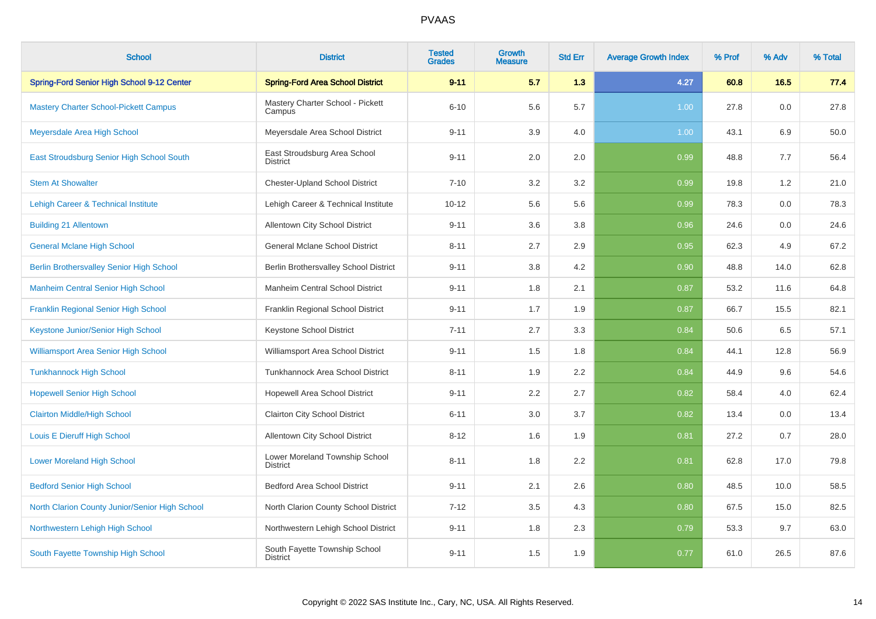| <b>School</b>                                   | <b>District</b>                                   | <b>Tested</b><br><b>Grades</b> | Growth<br><b>Measure</b> | <b>Std Err</b> | <b>Average Growth Index</b> | % Prof | % Adv | % Total |
|-------------------------------------------------|---------------------------------------------------|--------------------------------|--------------------------|----------------|-----------------------------|--------|-------|---------|
| Spring-Ford Senior High School 9-12 Center      | <b>Spring-Ford Area School District</b>           | $9 - 11$                       | 5.7                      | 1.3            | 4.27                        | 60.8   | 16.5  | 77.4    |
| <b>Mastery Charter School-Pickett Campus</b>    | Mastery Charter School - Pickett<br>Campus        | $6 - 10$                       | 5.6                      | 5.7            | 1.00                        | 27.8   | 0.0   | 27.8    |
| Meyersdale Area High School                     | Meyersdale Area School District                   | $9 - 11$                       | 3.9                      | 4.0            | 1.00                        | 43.1   | 6.9   | 50.0    |
| East Stroudsburg Senior High School South       | East Stroudsburg Area School<br><b>District</b>   | $9 - 11$                       | 2.0                      | 2.0            | 0.99                        | 48.8   | 7.7   | 56.4    |
| <b>Stem At Showalter</b>                        | <b>Chester-Upland School District</b>             | $7 - 10$                       | 3.2                      | 3.2            | 0.99                        | 19.8   | 1.2   | 21.0    |
| Lehigh Career & Technical Institute             | Lehigh Career & Technical Institute               | $10 - 12$                      | 5.6                      | 5.6            | 0.99                        | 78.3   | 0.0   | 78.3    |
| <b>Building 21 Allentown</b>                    | Allentown City School District                    | $9 - 11$                       | 3.6                      | 3.8            | 0.96                        | 24.6   | 0.0   | 24.6    |
| <b>General Mclane High School</b>               | <b>General Mclane School District</b>             | $8 - 11$                       | 2.7                      | 2.9            | 0.95                        | 62.3   | 4.9   | 67.2    |
| <b>Berlin Brothersvalley Senior High School</b> | Berlin Brothersvalley School District             | $9 - 11$                       | 3.8                      | 4.2            | 0.90                        | 48.8   | 14.0  | 62.8    |
| <b>Manheim Central Senior High School</b>       | Manheim Central School District                   | $9 - 11$                       | 1.8                      | 2.1            | 0.87                        | 53.2   | 11.6  | 64.8    |
| Franklin Regional Senior High School            | Franklin Regional School District                 | $9 - 11$                       | 1.7                      | 1.9            | 0.87                        | 66.7   | 15.5  | 82.1    |
| Keystone Junior/Senior High School              | Keystone School District                          | $7 - 11$                       | 2.7                      | 3.3            | 0.84                        | 50.6   | 6.5   | 57.1    |
| <b>Williamsport Area Senior High School</b>     | Williamsport Area School District                 | $9 - 11$                       | 1.5                      | 1.8            | 0.84                        | 44.1   | 12.8  | 56.9    |
| <b>Tunkhannock High School</b>                  | Tunkhannock Area School District                  | $8 - 11$                       | 1.9                      | 2.2            | 0.84                        | 44.9   | 9.6   | 54.6    |
| <b>Hopewell Senior High School</b>              | Hopewell Area School District                     | $9 - 11$                       | 2.2                      | 2.7            | 0.82                        | 58.4   | 4.0   | 62.4    |
| <b>Clairton Middle/High School</b>              | <b>Clairton City School District</b>              | $6 - 11$                       | 3.0                      | 3.7            | 0.82                        | 13.4   | 0.0   | 13.4    |
| Louis E Dieruff High School                     | Allentown City School District                    | $8 - 12$                       | 1.6                      | 1.9            | 0.81                        | 27.2   | 0.7   | 28.0    |
| <b>Lower Moreland High School</b>               | Lower Moreland Township School<br><b>District</b> | $8 - 11$                       | 1.8                      | 2.2            | 0.81                        | 62.8   | 17.0  | 79.8    |
| <b>Bedford Senior High School</b>               | <b>Bedford Area School District</b>               | $9 - 11$                       | 2.1                      | 2.6            | 0.80                        | 48.5   | 10.0  | 58.5    |
| North Clarion County Junior/Senior High School  | North Clarion County School District              | $7 - 12$                       | 3.5                      | 4.3            | 0.80                        | 67.5   | 15.0  | 82.5    |
| Northwestern Lehigh High School                 | Northwestern Lehigh School District               | $9 - 11$                       | 1.8                      | 2.3            | 0.79                        | 53.3   | 9.7   | 63.0    |
| South Fayette Township High School              | South Fayette Township School<br><b>District</b>  | $9 - 11$                       | 1.5                      | 1.9            | 0.77                        | 61.0   | 26.5  | 87.6    |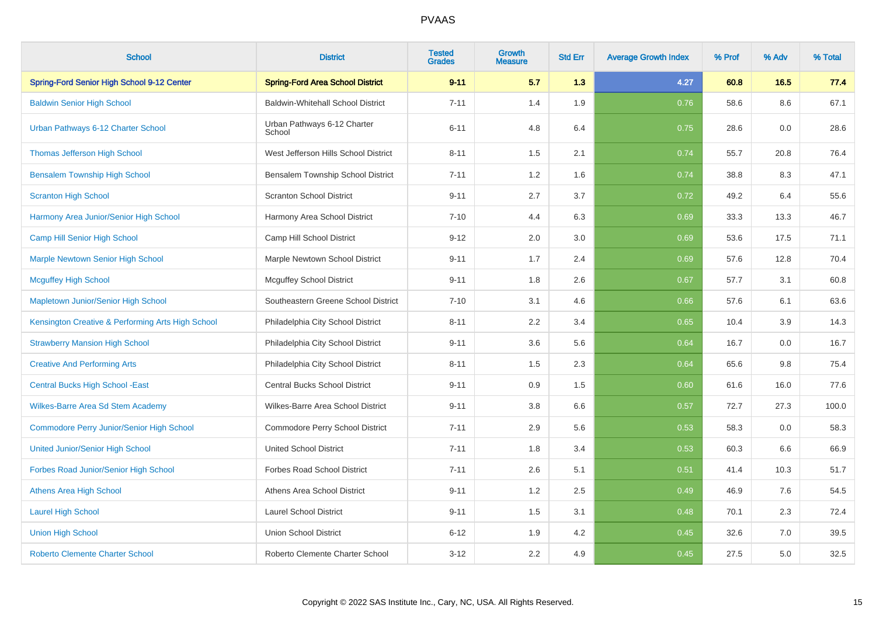| <b>School</b>                                     | <b>District</b>                          | <b>Tested</b><br><b>Grades</b> | <b>Growth</b><br><b>Measure</b> | <b>Std Err</b> | <b>Average Growth Index</b> | % Prof | % Adv | % Total |
|---------------------------------------------------|------------------------------------------|--------------------------------|---------------------------------|----------------|-----------------------------|--------|-------|---------|
| Spring-Ford Senior High School 9-12 Center        | <b>Spring-Ford Area School District</b>  | $9 - 11$                       | 5.7                             | 1.3            | 4.27                        | 60.8   | 16.5  | 77.4    |
| <b>Baldwin Senior High School</b>                 | <b>Baldwin-Whitehall School District</b> | $7 - 11$                       | 1.4                             | 1.9            | 0.76                        | 58.6   | 8.6   | 67.1    |
| Urban Pathways 6-12 Charter School                | Urban Pathways 6-12 Charter<br>School    | $6 - 11$                       | 4.8                             | 6.4            | 0.75                        | 28.6   | 0.0   | 28.6    |
| <b>Thomas Jefferson High School</b>               | West Jefferson Hills School District     | $8 - 11$                       | 1.5                             | 2.1            | 0.74                        | 55.7   | 20.8  | 76.4    |
| <b>Bensalem Township High School</b>              | Bensalem Township School District        | $7 - 11$                       | 1.2                             | 1.6            | 0.74                        | 38.8   | 8.3   | 47.1    |
| <b>Scranton High School</b>                       | <b>Scranton School District</b>          | $9 - 11$                       | 2.7                             | 3.7            | 0.72                        | 49.2   | 6.4   | 55.6    |
| Harmony Area Junior/Senior High School            | Harmony Area School District             | $7 - 10$                       | 4.4                             | 6.3            | 0.69                        | 33.3   | 13.3  | 46.7    |
| Camp Hill Senior High School                      | Camp Hill School District                | $9 - 12$                       | 2.0                             | 3.0            | 0.69                        | 53.6   | 17.5  | 71.1    |
| <b>Marple Newtown Senior High School</b>          | Marple Newtown School District           | $9 - 11$                       | 1.7                             | 2.4            | 0.69                        | 57.6   | 12.8  | 70.4    |
| <b>Mcguffey High School</b>                       | <b>Mcguffey School District</b>          | $9 - 11$                       | 1.8                             | 2.6            | 0.67                        | 57.7   | 3.1   | 60.8    |
| Mapletown Junior/Senior High School               | Southeastern Greene School District      | $7 - 10$                       | 3.1                             | 4.6            | 0.66                        | 57.6   | 6.1   | 63.6    |
| Kensington Creative & Performing Arts High School | Philadelphia City School District        | $8 - 11$                       | 2.2                             | 3.4            | 0.65                        | 10.4   | 3.9   | 14.3    |
| <b>Strawberry Mansion High School</b>             | Philadelphia City School District        | $9 - 11$                       | 3.6                             | 5.6            | 0.64                        | 16.7   | 0.0   | 16.7    |
| <b>Creative And Performing Arts</b>               | Philadelphia City School District        | $8 - 11$                       | 1.5                             | 2.3            | 0.64                        | 65.6   | 9.8   | 75.4    |
| <b>Central Bucks High School - East</b>           | Central Bucks School District            | $9 - 11$                       | 0.9                             | 1.5            | 0.60                        | 61.6   | 16.0  | 77.6    |
| Wilkes-Barre Area Sd Stem Academy                 | Wilkes-Barre Area School District        | $9 - 11$                       | 3.8                             | 6.6            | 0.57                        | 72.7   | 27.3  | 100.0   |
| <b>Commodore Perry Junior/Senior High School</b>  | Commodore Perry School District          | $7 - 11$                       | 2.9                             | 5.6            | 0.53                        | 58.3   | 0.0   | 58.3    |
| <b>United Junior/Senior High School</b>           | <b>United School District</b>            | $7 - 11$                       | 1.8                             | 3.4            | 0.53                        | 60.3   | 6.6   | 66.9    |
| Forbes Road Junior/Senior High School             | <b>Forbes Road School District</b>       | $7 - 11$                       | 2.6                             | 5.1            | 0.51                        | 41.4   | 10.3  | 51.7    |
| <b>Athens Area High School</b>                    | Athens Area School District              | $9 - 11$                       | 1.2                             | 2.5            | 0.49                        | 46.9   | 7.6   | 54.5    |
| <b>Laurel High School</b>                         | <b>Laurel School District</b>            | $9 - 11$                       | 1.5                             | 3.1            | 0.48                        | 70.1   | 2.3   | 72.4    |
| <b>Union High School</b>                          | <b>Union School District</b>             | $6 - 12$                       | 1.9                             | 4.2            | 0.45                        | 32.6   | 7.0   | 39.5    |
| <b>Roberto Clemente Charter School</b>            | Roberto Clemente Charter School          | $3 - 12$                       | 2.2                             | 4.9            | 0.45                        | 27.5   | 5.0   | 32.5    |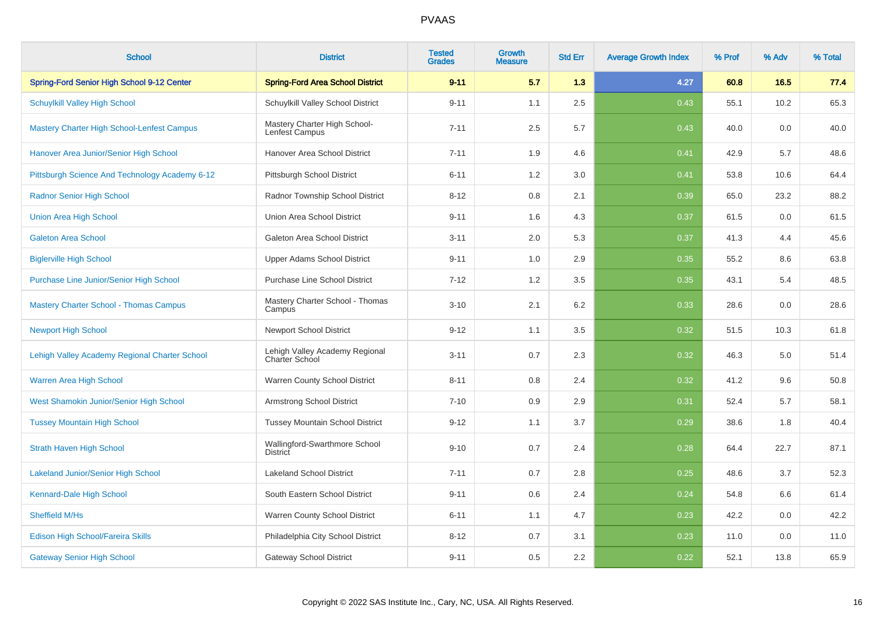| <b>School</b>                                     | <b>District</b>                                         | <b>Tested</b><br><b>Grades</b> | <b>Growth</b><br><b>Measure</b> | <b>Std Err</b> | <b>Average Growth Index</b> | % Prof | % Adv | % Total |
|---------------------------------------------------|---------------------------------------------------------|--------------------------------|---------------------------------|----------------|-----------------------------|--------|-------|---------|
| <b>Spring-Ford Senior High School 9-12 Center</b> | <b>Spring-Ford Area School District</b>                 | $9 - 11$                       | 5.7                             | 1.3            | 4.27                        | 60.8   | 16.5  | 77.4    |
| <b>Schuylkill Valley High School</b>              | Schuylkill Valley School District                       | $9 - 11$                       | 1.1                             | 2.5            | 0.43                        | 55.1   | 10.2  | 65.3    |
| <b>Mastery Charter High School-Lenfest Campus</b> | Mastery Charter High School-<br>Lenfest Campus          | $7 - 11$                       | 2.5                             | 5.7            | 0.43                        | 40.0   | 0.0   | 40.0    |
| Hanover Area Junior/Senior High School            | Hanover Area School District                            | $7 - 11$                       | 1.9                             | 4.6            | 0.41                        | 42.9   | 5.7   | 48.6    |
| Pittsburgh Science And Technology Academy 6-12    | Pittsburgh School District                              | $6 - 11$                       | 1.2                             | 3.0            | 0.41                        | 53.8   | 10.6  | 64.4    |
| <b>Radnor Senior High School</b>                  | Radnor Township School District                         | $8 - 12$                       | 0.8                             | 2.1            | 0.39                        | 65.0   | 23.2  | 88.2    |
| <b>Union Area High School</b>                     | Union Area School District                              | $9 - 11$                       | 1.6                             | 4.3            | 0.37                        | 61.5   | 0.0   | 61.5    |
| <b>Galeton Area School</b>                        | Galeton Area School District                            | $3 - 11$                       | 2.0                             | 5.3            | 0.37                        | 41.3   | 4.4   | 45.6    |
| <b>Biglerville High School</b>                    | <b>Upper Adams School District</b>                      | $9 - 11$                       | 1.0                             | 2.9            | 0.35                        | 55.2   | 8.6   | 63.8    |
| Purchase Line Junior/Senior High School           | <b>Purchase Line School District</b>                    | $7 - 12$                       | 1.2                             | 3.5            | 0.35                        | 43.1   | 5.4   | 48.5    |
| <b>Mastery Charter School - Thomas Campus</b>     | Mastery Charter School - Thomas<br>Campus               | $3 - 10$                       | 2.1                             | 6.2            | 0.33                        | 28.6   | 0.0   | 28.6    |
| <b>Newport High School</b>                        | <b>Newport School District</b>                          | $9 - 12$                       | 1.1                             | 3.5            | 0.32                        | 51.5   | 10.3  | 61.8    |
| Lehigh Valley Academy Regional Charter School     | Lehigh Valley Academy Regional<br><b>Charter School</b> | $3 - 11$                       | 0.7                             | 2.3            | 0.32                        | 46.3   | 5.0   | 51.4    |
| Warren Area High School                           | Warren County School District                           | $8 - 11$                       | 0.8                             | 2.4            | 0.32                        | 41.2   | 9.6   | 50.8    |
| West Shamokin Junior/Senior High School           | <b>Armstrong School District</b>                        | $7 - 10$                       | 0.9                             | 2.9            | 0.31                        | 52.4   | 5.7   | 58.1    |
| <b>Tussey Mountain High School</b>                | <b>Tussey Mountain School District</b>                  | $9 - 12$                       | 1.1                             | 3.7            | 0.29                        | 38.6   | 1.8   | 40.4    |
| <b>Strath Haven High School</b>                   | Wallingford-Swarthmore School<br><b>District</b>        | $9 - 10$                       | 0.7                             | 2.4            | 0.28                        | 64.4   | 22.7  | 87.1    |
| <b>Lakeland Junior/Senior High School</b>         | <b>Lakeland School District</b>                         | $7 - 11$                       | 0.7                             | 2.8            | 0.25                        | 48.6   | 3.7   | 52.3    |
| Kennard-Dale High School                          | South Eastern School District                           | $9 - 11$                       | 0.6                             | 2.4            | 0.24                        | 54.8   | 6.6   | 61.4    |
| Sheffield M/Hs                                    | Warren County School District                           | $6 - 11$                       | 1.1                             | 4.7            | 0.23                        | 42.2   | 0.0   | 42.2    |
| Edison High School/Fareira Skills                 | Philadelphia City School District                       | $8 - 12$                       | 0.7                             | 3.1            | 0.23                        | 11.0   | 0.0   | 11.0    |
| <b>Gateway Senior High School</b>                 | <b>Gateway School District</b>                          | $9 - 11$                       | 0.5                             | 2.2            | 0.22                        | 52.1   | 13.8  | 65.9    |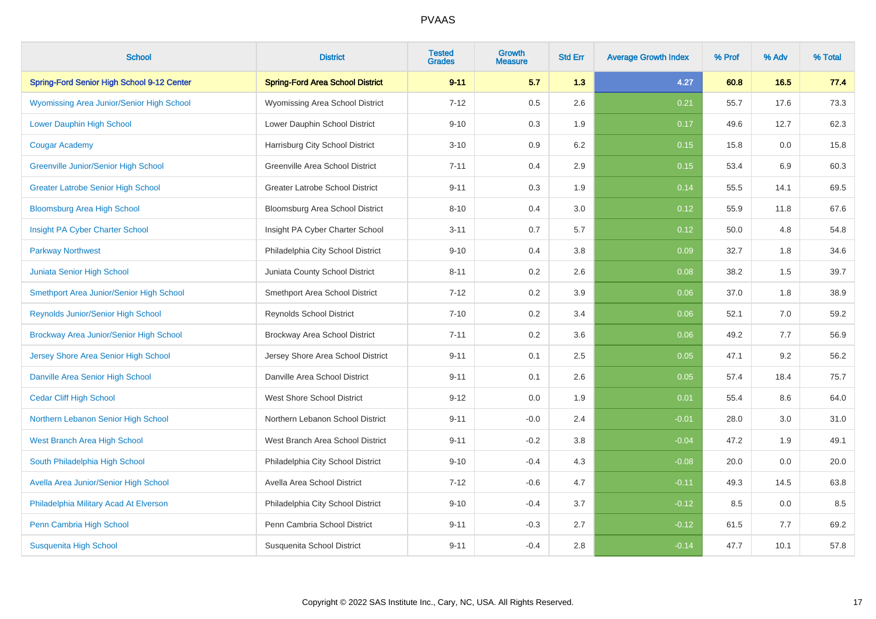| <b>School</b>                              | <b>District</b>                         | <b>Tested</b><br><b>Grades</b> | <b>Growth</b><br><b>Measure</b> | <b>Std Err</b> | <b>Average Growth Index</b> | % Prof | % Adv | % Total |
|--------------------------------------------|-----------------------------------------|--------------------------------|---------------------------------|----------------|-----------------------------|--------|-------|---------|
| Spring-Ford Senior High School 9-12 Center | <b>Spring-Ford Area School District</b> | $9 - 11$                       | 5.7                             | 1.3            | 4.27                        | 60.8   | 16.5  | 77.4    |
| Wyomissing Area Junior/Senior High School  | Wyomissing Area School District         | $7 - 12$                       | 0.5                             | 2.6            | 0.21                        | 55.7   | 17.6  | 73.3    |
| <b>Lower Dauphin High School</b>           | Lower Dauphin School District           | $9 - 10$                       | 0.3                             | 1.9            | 0.17                        | 49.6   | 12.7  | 62.3    |
| <b>Cougar Academy</b>                      | Harrisburg City School District         | $3 - 10$                       | 0.9                             | 6.2            | 0.15                        | 15.8   | 0.0   | 15.8    |
| Greenville Junior/Senior High School       | Greenville Area School District         | $7 - 11$                       | 0.4                             | 2.9            | 0.15                        | 53.4   | 6.9   | 60.3    |
| <b>Greater Latrobe Senior High School</b>  | <b>Greater Latrobe School District</b>  | $9 - 11$                       | 0.3                             | 1.9            | 0.14                        | 55.5   | 14.1  | 69.5    |
| <b>Bloomsburg Area High School</b>         | Bloomsburg Area School District         | $8 - 10$                       | 0.4                             | 3.0            | 0.12                        | 55.9   | 11.8  | 67.6    |
| Insight PA Cyber Charter School            | Insight PA Cyber Charter School         | $3 - 11$                       | 0.7                             | 5.7            | 0.12                        | 50.0   | 4.8   | 54.8    |
| <b>Parkway Northwest</b>                   | Philadelphia City School District       | $9 - 10$                       | 0.4                             | 3.8            | 0.09                        | 32.7   | 1.8   | 34.6    |
| Juniata Senior High School                 | Juniata County School District          | $8 - 11$                       | 0.2                             | 2.6            | 0.08                        | 38.2   | 1.5   | 39.7    |
| Smethport Area Junior/Senior High School   | Smethport Area School District          | $7 - 12$                       | 0.2                             | 3.9            | 0.06                        | 37.0   | 1.8   | 38.9    |
| <b>Reynolds Junior/Senior High School</b>  | <b>Reynolds School District</b>         | $7 - 10$                       | 0.2                             | 3.4            | 0.06                        | 52.1   | 7.0   | 59.2    |
| Brockway Area Junior/Senior High School    | Brockway Area School District           | $7 - 11$                       | 0.2                             | 3.6            | 0.06                        | 49.2   | 7.7   | 56.9    |
| Jersey Shore Area Senior High School       | Jersey Shore Area School District       | $9 - 11$                       | 0.1                             | 2.5            | 0.05                        | 47.1   | 9.2   | 56.2    |
| Danville Area Senior High School           | Danville Area School District           | $9 - 11$                       | 0.1                             | 2.6            | 0.05                        | 57.4   | 18.4  | 75.7    |
| <b>Cedar Cliff High School</b>             | <b>West Shore School District</b>       | $9 - 12$                       | 0.0                             | 1.9            | 0.01                        | 55.4   | 8.6   | 64.0    |
| Northern Lebanon Senior High School        | Northern Lebanon School District        | $9 - 11$                       | $-0.0$                          | 2.4            | $-0.01$                     | 28.0   | 3.0   | 31.0    |
| West Branch Area High School               | West Branch Area School District        | $9 - 11$                       | $-0.2$                          | 3.8            | $-0.04$                     | 47.2   | 1.9   | 49.1    |
| South Philadelphia High School             | Philadelphia City School District       | $9 - 10$                       | $-0.4$                          | 4.3            | $-0.08$                     | 20.0   | 0.0   | 20.0    |
| Avella Area Junior/Senior High School      | Avella Area School District             | $7 - 12$                       | $-0.6$                          | 4.7            | $-0.11$                     | 49.3   | 14.5  | 63.8    |
| Philadelphia Military Acad At Elverson     | Philadelphia City School District       | $9 - 10$                       | $-0.4$                          | 3.7            | $-0.12$                     | 8.5    | 0.0   | 8.5     |
| Penn Cambria High School                   | Penn Cambria School District            | $9 - 11$                       | $-0.3$                          | 2.7            | $-0.12$                     | 61.5   | 7.7   | 69.2    |
| <b>Susquenita High School</b>              | Susquenita School District              | $9 - 11$                       | $-0.4$                          | 2.8            | $-0.14$                     | 47.7   | 10.1  | 57.8    |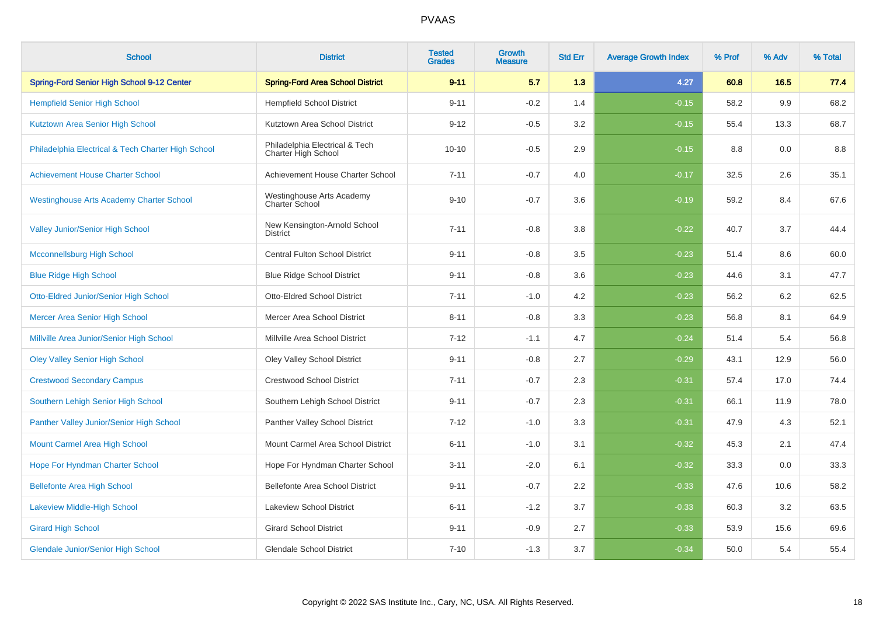| <b>School</b>                                      | <b>District</b>                                       | <b>Tested</b><br><b>Grades</b> | Growth<br><b>Measure</b> | <b>Std Err</b> | <b>Average Growth Index</b> | % Prof | % Adv | % Total |
|----------------------------------------------------|-------------------------------------------------------|--------------------------------|--------------------------|----------------|-----------------------------|--------|-------|---------|
| Spring-Ford Senior High School 9-12 Center         | <b>Spring-Ford Area School District</b>               | $9 - 11$                       | 5.7                      | 1.3            | 4.27                        | 60.8   | 16.5  | 77.4    |
| <b>Hempfield Senior High School</b>                | <b>Hempfield School District</b>                      | $9 - 11$                       | $-0.2$                   | 1.4            | $-0.15$                     | 58.2   | 9.9   | 68.2    |
| Kutztown Area Senior High School                   | Kutztown Area School District                         | $9 - 12$                       | $-0.5$                   | 3.2            | $-0.15$                     | 55.4   | 13.3  | 68.7    |
| Philadelphia Electrical & Tech Charter High School | Philadelphia Electrical & Tech<br>Charter High School | $10 - 10$                      | $-0.5$                   | 2.9            | $-0.15$                     | 8.8    | 0.0   | 8.8     |
| <b>Achievement House Charter School</b>            | Achievement House Charter School                      | $7 - 11$                       | $-0.7$                   | 4.0            | $-0.17$                     | 32.5   | 2.6   | 35.1    |
| <b>Westinghouse Arts Academy Charter School</b>    | Westinghouse Arts Academy<br>Charter School           | $9 - 10$                       | $-0.7$                   | 3.6            | $-0.19$                     | 59.2   | 8.4   | 67.6    |
| <b>Valley Junior/Senior High School</b>            | New Kensington-Arnold School<br><b>District</b>       | $7 - 11$                       | $-0.8$                   | 3.8            | $-0.22$                     | 40.7   | 3.7   | 44.4    |
| Mcconnellsburg High School                         | <b>Central Fulton School District</b>                 | $9 - 11$                       | $-0.8$                   | 3.5            | $-0.23$                     | 51.4   | 8.6   | 60.0    |
| <b>Blue Ridge High School</b>                      | <b>Blue Ridge School District</b>                     | $9 - 11$                       | $-0.8$                   | 3.6            | $-0.23$                     | 44.6   | 3.1   | 47.7    |
| <b>Otto-Eldred Junior/Senior High School</b>       | <b>Otto-Eldred School District</b>                    | $7 - 11$                       | $-1.0$                   | 4.2            | $-0.23$                     | 56.2   | 6.2   | 62.5    |
| Mercer Area Senior High School                     | Mercer Area School District                           | $8 - 11$                       | $-0.8$                   | 3.3            | $-0.23$                     | 56.8   | 8.1   | 64.9    |
| Millville Area Junior/Senior High School           | Millville Area School District                        | $7 - 12$                       | $-1.1$                   | 4.7            | $-0.24$                     | 51.4   | 5.4   | 56.8    |
| <b>Oley Valley Senior High School</b>              | Oley Valley School District                           | $9 - 11$                       | $-0.8$                   | 2.7            | $-0.29$                     | 43.1   | 12.9  | 56.0    |
| <b>Crestwood Secondary Campus</b>                  | <b>Crestwood School District</b>                      | $7 - 11$                       | $-0.7$                   | 2.3            | $-0.31$                     | 57.4   | 17.0  | 74.4    |
| Southern Lehigh Senior High School                 | Southern Lehigh School District                       | $9 - 11$                       | $-0.7$                   | 2.3            | $-0.31$                     | 66.1   | 11.9  | 78.0    |
| Panther Valley Junior/Senior High School           | Panther Valley School District                        | $7 - 12$                       | $-1.0$                   | 3.3            | $-0.31$                     | 47.9   | 4.3   | 52.1    |
| Mount Carmel Area High School                      | Mount Carmel Area School District                     | $6 - 11$                       | $-1.0$                   | 3.1            | $-0.32$                     | 45.3   | 2.1   | 47.4    |
| Hope For Hyndman Charter School                    | Hope For Hyndman Charter School                       | $3 - 11$                       | $-2.0$                   | 6.1            | $-0.32$                     | 33.3   | 0.0   | 33.3    |
| <b>Bellefonte Area High School</b>                 | Bellefonte Area School District                       | $9 - 11$                       | $-0.7$                   | 2.2            | $-0.33$                     | 47.6   | 10.6  | 58.2    |
| <b>Lakeview Middle-High School</b>                 | <b>Lakeview School District</b>                       | $6 - 11$                       | $-1.2$                   | 3.7            | $-0.33$                     | 60.3   | 3.2   | 63.5    |
| <b>Girard High School</b>                          | <b>Girard School District</b>                         | $9 - 11$                       | $-0.9$                   | 2.7            | $-0.33$                     | 53.9   | 15.6  | 69.6    |
| <b>Glendale Junior/Senior High School</b>          | <b>Glendale School District</b>                       | $7 - 10$                       | $-1.3$                   | 3.7            | $-0.34$                     | 50.0   | 5.4   | 55.4    |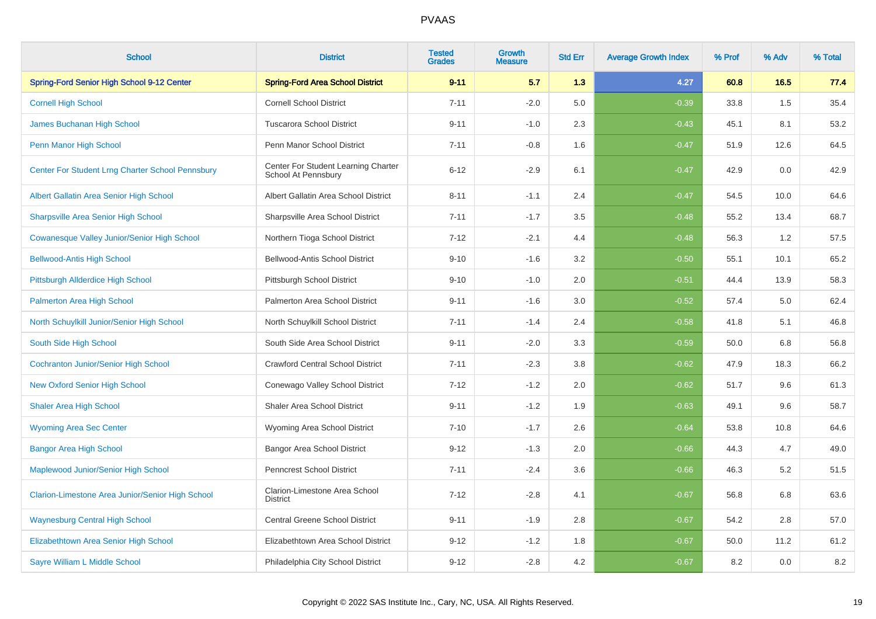| <b>School</b>                                      | <b>District</b>                                            | <b>Tested</b><br><b>Grades</b> | <b>Growth</b><br><b>Measure</b> | <b>Std Err</b> | <b>Average Growth Index</b> | % Prof | % Adv | % Total |
|----------------------------------------------------|------------------------------------------------------------|--------------------------------|---------------------------------|----------------|-----------------------------|--------|-------|---------|
| Spring-Ford Senior High School 9-12 Center         | <b>Spring-Ford Area School District</b>                    | $9 - 11$                       | 5.7                             | 1.3            | 4.27                        | 60.8   | 16.5  | 77.4    |
| <b>Cornell High School</b>                         | <b>Cornell School District</b>                             | $7 - 11$                       | $-2.0$                          | 5.0            | $-0.39$                     | 33.8   | 1.5   | 35.4    |
| James Buchanan High School                         | <b>Tuscarora School District</b>                           | $9 - 11$                       | $-1.0$                          | 2.3            | $-0.43$                     | 45.1   | 8.1   | 53.2    |
| Penn Manor High School                             | Penn Manor School District                                 | $7 - 11$                       | $-0.8$                          | 1.6            | $-0.47$                     | 51.9   | 12.6  | 64.5    |
| Center For Student Lrng Charter School Pennsbury   | Center For Student Learning Charter<br>School At Pennsbury | $6 - 12$                       | $-2.9$                          | 6.1            | $-0.47$                     | 42.9   | 0.0   | 42.9    |
| Albert Gallatin Area Senior High School            | Albert Gallatin Area School District                       | $8 - 11$                       | $-1.1$                          | 2.4            | $-0.47$                     | 54.5   | 10.0  | 64.6    |
| <b>Sharpsville Area Senior High School</b>         | Sharpsville Area School District                           | $7 - 11$                       | $-1.7$                          | 3.5            | $-0.48$                     | 55.2   | 13.4  | 68.7    |
| <b>Cowanesque Valley Junior/Senior High School</b> | Northern Tioga School District                             | $7 - 12$                       | $-2.1$                          | 4.4            | $-0.48$                     | 56.3   | 1.2   | 57.5    |
| <b>Bellwood-Antis High School</b>                  | <b>Bellwood-Antis School District</b>                      | $9 - 10$                       | $-1.6$                          | 3.2            | $-0.50$                     | 55.1   | 10.1  | 65.2    |
| Pittsburgh Allderdice High School                  | Pittsburgh School District                                 | $9 - 10$                       | $-1.0$                          | 2.0            | $-0.51$                     | 44.4   | 13.9  | 58.3    |
| <b>Palmerton Area High School</b>                  | Palmerton Area School District                             | $9 - 11$                       | $-1.6$                          | 3.0            | $-0.52$                     | 57.4   | 5.0   | 62.4    |
| North Schuylkill Junior/Senior High School         | North Schuylkill School District                           | $7 - 11$                       | $-1.4$                          | 2.4            | $-0.58$                     | 41.8   | 5.1   | 46.8    |
| South Side High School                             | South Side Area School District                            | $9 - 11$                       | $-2.0$                          | 3.3            | $-0.59$                     | 50.0   | 6.8   | 56.8    |
| <b>Cochranton Junior/Senior High School</b>        | <b>Crawford Central School District</b>                    | $7 - 11$                       | $-2.3$                          | 3.8            | $-0.62$                     | 47.9   | 18.3  | 66.2    |
| <b>New Oxford Senior High School</b>               | Conewago Valley School District                            | $7 - 12$                       | $-1.2$                          | 2.0            | $-0.62$                     | 51.7   | 9.6   | 61.3    |
| <b>Shaler Area High School</b>                     | <b>Shaler Area School District</b>                         | $9 - 11$                       | $-1.2$                          | 1.9            | $-0.63$                     | 49.1   | 9.6   | 58.7    |
| <b>Wyoming Area Sec Center</b>                     | Wyoming Area School District                               | $7 - 10$                       | $-1.7$                          | 2.6            | $-0.64$                     | 53.8   | 10.8  | 64.6    |
| <b>Bangor Area High School</b>                     | <b>Bangor Area School District</b>                         | $9 - 12$                       | $-1.3$                          | 2.0            | $-0.66$                     | 44.3   | 4.7   | 49.0    |
| Maplewood Junior/Senior High School                | <b>Penncrest School District</b>                           | $7 - 11$                       | $-2.4$                          | 3.6            | $-0.66$                     | 46.3   | 5.2   | 51.5    |
| Clarion-Limestone Area Junior/Senior High School   | Clarion-Limestone Area School<br><b>District</b>           | $7 - 12$                       | $-2.8$                          | 4.1            | $-0.67$                     | 56.8   | 6.8   | 63.6    |
| <b>Waynesburg Central High School</b>              | <b>Central Greene School District</b>                      | $9 - 11$                       | $-1.9$                          | 2.8            | $-0.67$                     | 54.2   | 2.8   | 57.0    |
| Elizabethtown Area Senior High School              | Elizabethtown Area School District                         | $9 - 12$                       | $-1.2$                          | 1.8            | $-0.67$                     | 50.0   | 11.2  | 61.2    |
| Sayre William L Middle School                      | Philadelphia City School District                          | $9 - 12$                       | $-2.8$                          | 4.2            | $-0.67$                     | 8.2    | 0.0   | $8.2\,$ |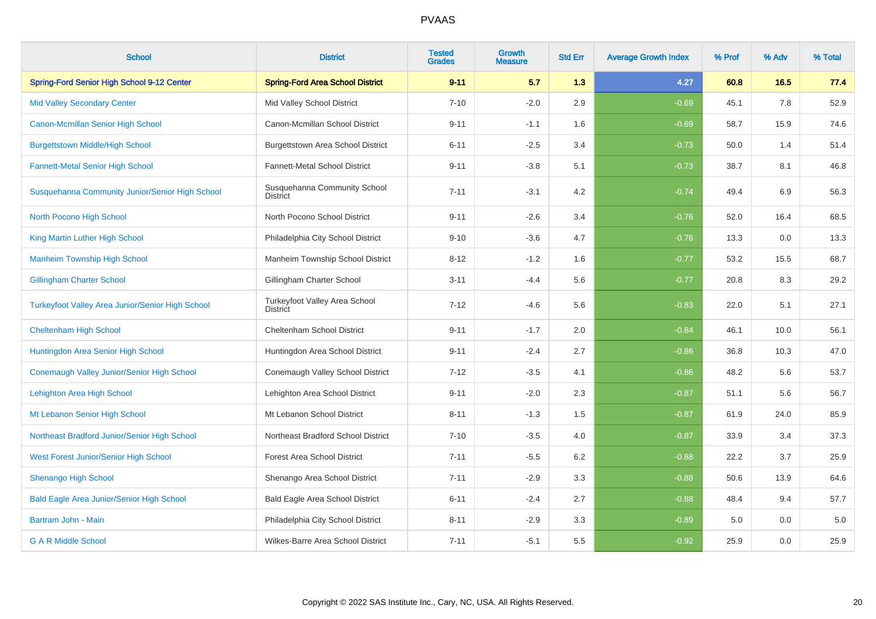| <b>School</b>                                           | <b>District</b>                                  | <b>Tested</b><br><b>Grades</b> | <b>Growth</b><br><b>Measure</b> | <b>Std Err</b> | <b>Average Growth Index</b> | % Prof | % Adv | % Total |
|---------------------------------------------------------|--------------------------------------------------|--------------------------------|---------------------------------|----------------|-----------------------------|--------|-------|---------|
| Spring-Ford Senior High School 9-12 Center              | <b>Spring-Ford Area School District</b>          | $9 - 11$                       | 5.7                             | 1.3            | 4.27                        | 60.8   | 16.5  | 77.4    |
| <b>Mid Valley Secondary Center</b>                      | Mid Valley School District                       | $7 - 10$                       | $-2.0$                          | 2.9            | $-0.69$                     | 45.1   | 7.8   | 52.9    |
| Canon-Mcmillan Senior High School                       | Canon-Mcmillan School District                   | $9 - 11$                       | $-1.1$                          | 1.6            | $-0.69$                     | 58.7   | 15.9  | 74.6    |
| <b>Burgettstown Middle/High School</b>                  | Burgettstown Area School District                | $6 - 11$                       | $-2.5$                          | 3.4            | $-0.73$                     | 50.0   | 1.4   | 51.4    |
| <b>Fannett-Metal Senior High School</b>                 | Fannett-Metal School District                    | $9 - 11$                       | $-3.8$                          | 5.1            | $-0.73$                     | 38.7   | 8.1   | 46.8    |
| Susquehanna Community Junior/Senior High School         | Susquehanna Community School<br><b>District</b>  | $7 - 11$                       | $-3.1$                          | 4.2            | $-0.74$                     | 49.4   | 6.9   | 56.3    |
| North Pocono High School                                | North Pocono School District                     | $9 - 11$                       | $-2.6$                          | 3.4            | $-0.76$                     | 52.0   | 16.4  | 68.5    |
| King Martin Luther High School                          | Philadelphia City School District                | $9 - 10$                       | $-3.6$                          | 4.7            | $-0.76$                     | 13.3   | 0.0   | 13.3    |
| <b>Manheim Township High School</b>                     | Manheim Township School District                 | $8 - 12$                       | $-1.2$                          | 1.6            | $-0.77$                     | 53.2   | 15.5  | 68.7    |
| <b>Gillingham Charter School</b>                        | Gillingham Charter School                        | $3 - 11$                       | $-4.4$                          | 5.6            | $-0.77$                     | 20.8   | 8.3   | 29.2    |
| <b>Turkeyfoot Valley Area Junior/Senior High School</b> | Turkeyfoot Valley Area School<br><b>District</b> | $7 - 12$                       | $-4.6$                          | 5.6            | $-0.83$                     | 22.0   | 5.1   | 27.1    |
| <b>Cheltenham High School</b>                           | Cheltenham School District                       | $9 - 11$                       | $-1.7$                          | 2.0            | $-0.84$                     | 46.1   | 10.0  | 56.1    |
| Huntingdon Area Senior High School                      | Huntingdon Area School District                  | $9 - 11$                       | $-2.4$                          | 2.7            | $-0.86$                     | 36.8   | 10.3  | 47.0    |
| Conemaugh Valley Junior/Senior High School              | Conemaugh Valley School District                 | $7 - 12$                       | $-3.5$                          | 4.1            | $-0.86$                     | 48.2   | 5.6   | 53.7    |
| Lehighton Area High School                              | Lehighton Area School District                   | $9 - 11$                       | $-2.0$                          | 2.3            | $-0.87$                     | 51.1   | 5.6   | 56.7    |
| Mt Lebanon Senior High School                           | Mt Lebanon School District                       | $8 - 11$                       | $-1.3$                          | 1.5            | $-0.87$                     | 61.9   | 24.0  | 85.9    |
| Northeast Bradford Junior/Senior High School            | Northeast Bradford School District               | $7 - 10$                       | $-3.5$                          | 4.0            | $-0.87$                     | 33.9   | 3.4   | 37.3    |
| West Forest Junior/Senior High School                   | <b>Forest Area School District</b>               | $7 - 11$                       | $-5.5$                          | 6.2            | $-0.88$                     | 22.2   | 3.7   | 25.9    |
| <b>Shenango High School</b>                             | Shenango Area School District                    | $7 - 11$                       | $-2.9$                          | 3.3            | $-0.88$                     | 50.6   | 13.9  | 64.6    |
| <b>Bald Eagle Area Junior/Senior High School</b>        | Bald Eagle Area School District                  | $6 - 11$                       | $-2.4$                          | 2.7            | $-0.88$                     | 48.4   | 9.4   | 57.7    |
| Bartram John - Main                                     | Philadelphia City School District                | $8 - 11$                       | $-2.9$                          | 3.3            | $-0.89$                     | 5.0    | 0.0   | 5.0     |
| <b>G A R Middle School</b>                              | Wilkes-Barre Area School District                | $7 - 11$                       | $-5.1$                          | 5.5            | $-0.92$                     | 25.9   | 0.0   | 25.9    |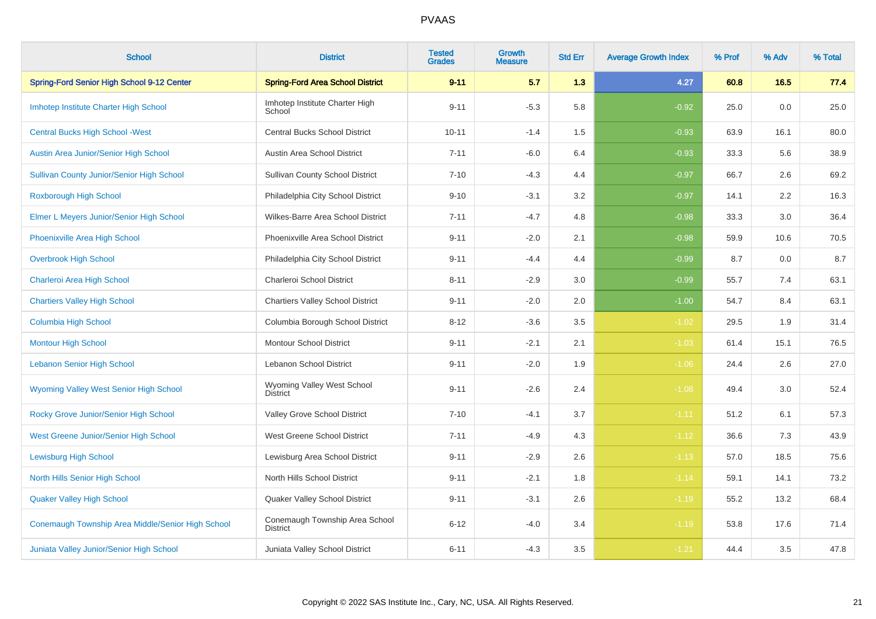| <b>School</b>                                     | <b>District</b>                                   | <b>Tested</b><br><b>Grades</b> | Growth<br>Measure | <b>Std Err</b> | <b>Average Growth Index</b> | % Prof | % Adv | % Total |
|---------------------------------------------------|---------------------------------------------------|--------------------------------|-------------------|----------------|-----------------------------|--------|-------|---------|
| Spring-Ford Senior High School 9-12 Center        | <b>Spring-Ford Area School District</b>           | $9 - 11$                       | 5.7               | 1.3            | 4.27                        | 60.8   | 16.5  | 77.4    |
| Imhotep Institute Charter High School             | Imhotep Institute Charter High<br>School          | $9 - 11$                       | $-5.3$            | 5.8            | $-0.92$                     | 25.0   | 0.0   | 25.0    |
| <b>Central Bucks High School - West</b>           | <b>Central Bucks School District</b>              | $10 - 11$                      | $-1.4$            | 1.5            | $-0.93$                     | 63.9   | 16.1  | 80.0    |
| Austin Area Junior/Senior High School             | Austin Area School District                       | $7 - 11$                       | $-6.0$            | 6.4            | $-0.93$                     | 33.3   | 5.6   | 38.9    |
| <b>Sullivan County Junior/Senior High School</b>  | <b>Sullivan County School District</b>            | $7 - 10$                       | $-4.3$            | 4.4            | $-0.97$                     | 66.7   | 2.6   | 69.2    |
| Roxborough High School                            | Philadelphia City School District                 | $9 - 10$                       | $-3.1$            | 3.2            | $-0.97$                     | 14.1   | 2.2   | 16.3    |
| Elmer L Meyers Junior/Senior High School          | Wilkes-Barre Area School District                 | $7 - 11$                       | $-4.7$            | 4.8            | $-0.98$                     | 33.3   | 3.0   | 36.4    |
| Phoenixville Area High School                     | Phoenixville Area School District                 | $9 - 11$                       | $-2.0$            | 2.1            | $-0.98$                     | 59.9   | 10.6  | 70.5    |
| <b>Overbrook High School</b>                      | Philadelphia City School District                 | $9 - 11$                       | $-4.4$            | 4.4            | $-0.99$                     | 8.7    | 0.0   | 8.7     |
| Charleroi Area High School                        | Charleroi School District                         | $8 - 11$                       | $-2.9$            | 3.0            | $-0.99$                     | 55.7   | 7.4   | 63.1    |
| <b>Chartiers Valley High School</b>               | <b>Chartiers Valley School District</b>           | $9 - 11$                       | $-2.0$            | 2.0            | $-1.00$                     | 54.7   | 8.4   | 63.1    |
| Columbia High School                              | Columbia Borough School District                  | $8 - 12$                       | $-3.6$            | 3.5            | $-1.02$                     | 29.5   | 1.9   | 31.4    |
| <b>Montour High School</b>                        | <b>Montour School District</b>                    | $9 - 11$                       | $-2.1$            | 2.1            | $-1.03$                     | 61.4   | 15.1  | 76.5    |
| <b>Lebanon Senior High School</b>                 | Lebanon School District                           | $9 - 11$                       | $-2.0$            | 1.9            | $-1.06$                     | 24.4   | 2.6   | 27.0    |
| <b>Wyoming Valley West Senior High School</b>     | Wyoming Valley West School<br><b>District</b>     | $9 - 11$                       | $-2.6$            | 2.4            | $-1.08$                     | 49.4   | 3.0   | 52.4    |
| Rocky Grove Junior/Senior High School             | Valley Grove School District                      | $7 - 10$                       | $-4.1$            | 3.7            | $-1.11$                     | 51.2   | 6.1   | 57.3    |
| West Greene Junior/Senior High School             | West Greene School District                       | $7 - 11$                       | $-4.9$            | 4.3            | $-1.12$                     | 36.6   | 7.3   | 43.9    |
| <b>Lewisburg High School</b>                      | Lewisburg Area School District                    | $9 - 11$                       | $-2.9$            | 2.6            | $-1.13$                     | 57.0   | 18.5  | 75.6    |
| North Hills Senior High School                    | North Hills School District                       | $9 - 11$                       | $-2.1$            | 1.8            | $-1.14$                     | 59.1   | 14.1  | 73.2    |
| <b>Quaker Valley High School</b>                  | Quaker Valley School District                     | $9 - 11$                       | $-3.1$            | 2.6            | $-1.19$                     | 55.2   | 13.2  | 68.4    |
| Conemaugh Township Area Middle/Senior High School | Conemaugh Township Area School<br><b>District</b> | $6 - 12$                       | $-4.0$            | 3.4            | $-1.19$                     | 53.8   | 17.6  | 71.4    |
| Juniata Valley Junior/Senior High School          | Juniata Valley School District                    | $6 - 11$                       | $-4.3$            | 3.5            | $-1.21$                     | 44.4   | 3.5   | 47.8    |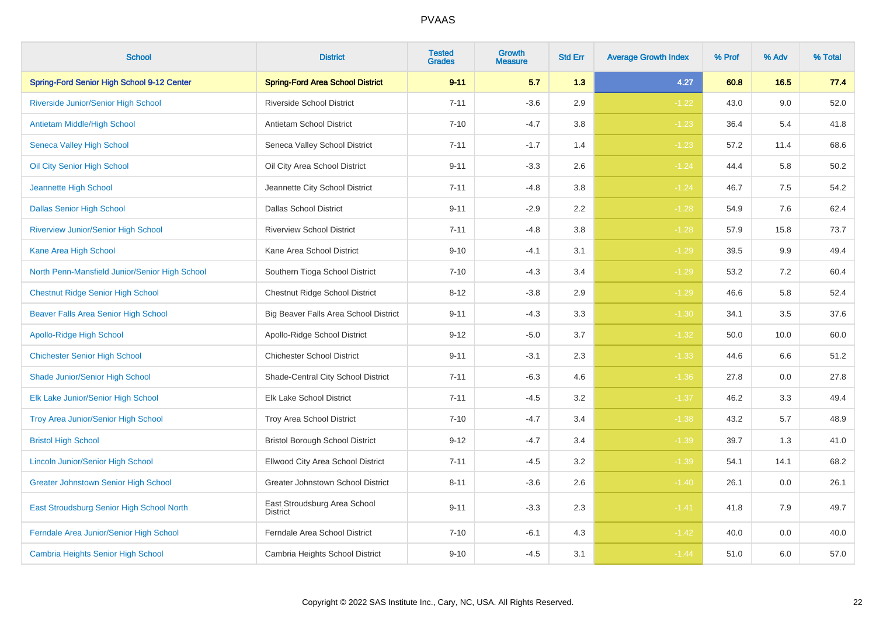| <b>School</b>                                  | <b>District</b>                                 | <b>Tested</b><br><b>Grades</b> | Growth<br><b>Measure</b> | <b>Std Err</b> | <b>Average Growth Index</b> | % Prof | % Adv | % Total |
|------------------------------------------------|-------------------------------------------------|--------------------------------|--------------------------|----------------|-----------------------------|--------|-------|---------|
| Spring-Ford Senior High School 9-12 Center     | <b>Spring-Ford Area School District</b>         | $9 - 11$                       | 5.7                      | 1.3            | 4.27                        | 60.8   | 16.5  | 77.4    |
| Riverside Junior/Senior High School            | <b>Riverside School District</b>                | $7 - 11$                       | $-3.6$                   | 2.9            | $-1.22$                     | 43.0   | 9.0   | 52.0    |
| Antietam Middle/High School                    | Antietam School District                        | $7 - 10$                       | $-4.7$                   | 3.8            | $-1.23$                     | 36.4   | 5.4   | 41.8    |
| <b>Seneca Valley High School</b>               | Seneca Valley School District                   | $7 - 11$                       | $-1.7$                   | 1.4            | $-1.23$                     | 57.2   | 11.4  | 68.6    |
| Oil City Senior High School                    | Oil City Area School District                   | $9 - 11$                       | $-3.3$                   | 2.6            | $-1.24$                     | 44.4   | 5.8   | 50.2    |
| Jeannette High School                          | Jeannette City School District                  | $7 - 11$                       | $-4.8$                   | 3.8            | $-1.24$                     | 46.7   | 7.5   | 54.2    |
| <b>Dallas Senior High School</b>               | <b>Dallas School District</b>                   | $9 - 11$                       | $-2.9$                   | 2.2            | $-1.28$                     | 54.9   | 7.6   | 62.4    |
| Riverview Junior/Senior High School            | <b>Riverview School District</b>                | $7 - 11$                       | $-4.8$                   | 3.8            | $-1.28$                     | 57.9   | 15.8  | 73.7    |
| Kane Area High School                          | Kane Area School District                       | $9 - 10$                       | $-4.1$                   | 3.1            | $-1.29$                     | 39.5   | 9.9   | 49.4    |
| North Penn-Mansfield Junior/Senior High School | Southern Tioga School District                  | $7 - 10$                       | $-4.3$                   | 3.4            | $-1.29$                     | 53.2   | 7.2   | 60.4    |
| <b>Chestnut Ridge Senior High School</b>       | Chestnut Ridge School District                  | $8 - 12$                       | $-3.8$                   | 2.9            | $-1.29$                     | 46.6   | 5.8   | 52.4    |
| Beaver Falls Area Senior High School           | Big Beaver Falls Area School District           | $9 - 11$                       | $-4.3$                   | 3.3            | $-1.30$                     | 34.1   | 3.5   | 37.6    |
| <b>Apollo-Ridge High School</b>                | Apollo-Ridge School District                    | $9 - 12$                       | $-5.0$                   | 3.7            | $-1.32$                     | 50.0   | 10.0  | 60.0    |
| <b>Chichester Senior High School</b>           | <b>Chichester School District</b>               | $9 - 11$                       | $-3.1$                   | 2.3            | $-1.33$                     | 44.6   | 6.6   | 51.2    |
| Shade Junior/Senior High School                | Shade-Central City School District              | $7 - 11$                       | $-6.3$                   | 4.6            | $-1.36$                     | 27.8   | 0.0   | 27.8    |
| Elk Lake Junior/Senior High School             | Elk Lake School District                        | $7 - 11$                       | $-4.5$                   | 3.2            | $-1.37$                     | 46.2   | 3.3   | 49.4    |
| <b>Troy Area Junior/Senior High School</b>     | Troy Area School District                       | $7 - 10$                       | $-4.7$                   | 3.4            | $-1.38$                     | 43.2   | 5.7   | 48.9    |
| <b>Bristol High School</b>                     | <b>Bristol Borough School District</b>          | $9 - 12$                       | $-4.7$                   | 3.4            | $-1.39$                     | 39.7   | 1.3   | 41.0    |
| Lincoln Junior/Senior High School              | Ellwood City Area School District               | $7 - 11$                       | $-4.5$                   | 3.2            | $-1.39$                     | 54.1   | 14.1  | 68.2    |
| <b>Greater Johnstown Senior High School</b>    | Greater Johnstown School District               | $8 - 11$                       | $-3.6$                   | 2.6            | $-1.40$                     | 26.1   | 0.0   | 26.1    |
| East Stroudsburg Senior High School North      | East Stroudsburg Area School<br><b>District</b> | $9 - 11$                       | $-3.3$                   | 2.3            | $-1.41$                     | 41.8   | 7.9   | 49.7    |
| Ferndale Area Junior/Senior High School        | Ferndale Area School District                   | $7 - 10$                       | $-6.1$                   | 4.3            | $-1.42$                     | 40.0   | 0.0   | 40.0    |
| Cambria Heights Senior High School             | Cambria Heights School District                 | $9 - 10$                       | $-4.5$                   | 3.1            | $-1.44$                     | 51.0   | 6.0   | 57.0    |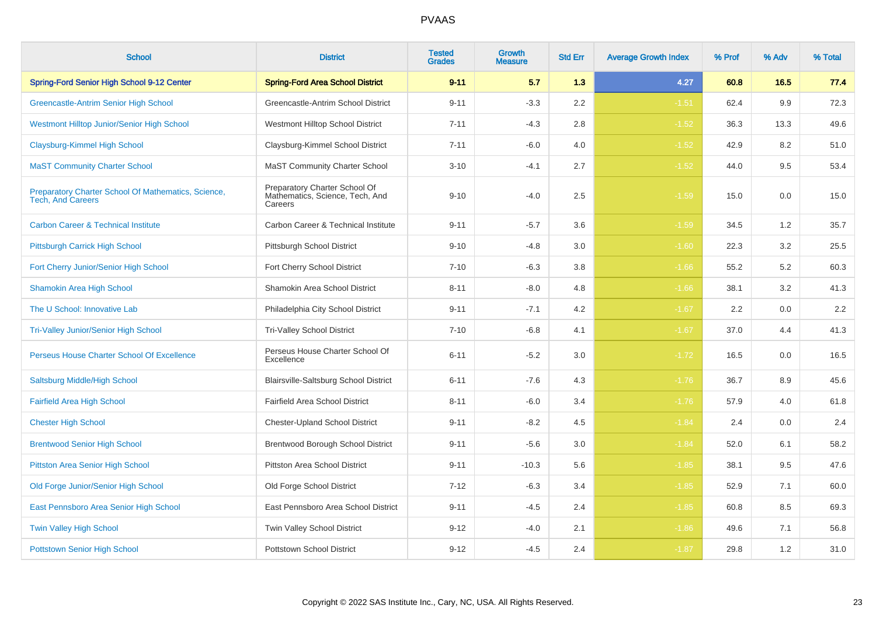| <b>School</b>                                                                   | <b>District</b>                                                             | <b>Tested</b><br><b>Grades</b> | Growth<br>Measure | <b>Std Err</b> | <b>Average Growth Index</b> | % Prof | % Adv | % Total |
|---------------------------------------------------------------------------------|-----------------------------------------------------------------------------|--------------------------------|-------------------|----------------|-----------------------------|--------|-------|---------|
| Spring-Ford Senior High School 9-12 Center                                      | <b>Spring-Ford Area School District</b>                                     | $9 - 11$                       | 5.7               | 1.3            | 4.27                        | 60.8   | 16.5  | 77.4    |
| Greencastle-Antrim Senior High School                                           | Greencastle-Antrim School District                                          | $9 - 11$                       | $-3.3$            | 2.2            | $-1.51$                     | 62.4   | 9.9   | 72.3    |
| Westmont Hilltop Junior/Senior High School                                      | Westmont Hilltop School District                                            | $7 - 11$                       | $-4.3$            | 2.8            | $-1.52$                     | 36.3   | 13.3  | 49.6    |
| Claysburg-Kimmel High School                                                    | Claysburg-Kimmel School District                                            | $7 - 11$                       | $-6.0$            | 4.0            | $-1.52$                     | 42.9   | 8.2   | 51.0    |
| <b>MaST Community Charter School</b>                                            | <b>MaST Community Charter School</b>                                        | $3 - 10$                       | $-4.1$            | 2.7            | $-1.52$                     | 44.0   | 9.5   | 53.4    |
| Preparatory Charter School Of Mathematics, Science,<br><b>Tech, And Careers</b> | Preparatory Charter School Of<br>Mathematics, Science, Tech, And<br>Careers | $9 - 10$                       | $-4.0$            | 2.5            | $-1.59$                     | 15.0   | 0.0   | 15.0    |
| <b>Carbon Career &amp; Technical Institute</b>                                  | Carbon Career & Technical Institute                                         | $9 - 11$                       | $-5.7$            | 3.6            | $-1.59$                     | 34.5   | 1.2   | 35.7    |
| Pittsburgh Carrick High School                                                  | Pittsburgh School District                                                  | $9 - 10$                       | $-4.8$            | 3.0            | $-1.60$                     | 22.3   | 3.2   | 25.5    |
| Fort Cherry Junior/Senior High School                                           | Fort Cherry School District                                                 | $7 - 10$                       | $-6.3$            | 3.8            | $-1.66$                     | 55.2   | 5.2   | 60.3    |
| <b>Shamokin Area High School</b>                                                | Shamokin Area School District                                               | $8 - 11$                       | $-8.0$            | 4.8            | $-1.66$                     | 38.1   | 3.2   | 41.3    |
| The U School: Innovative Lab                                                    | Philadelphia City School District                                           | $9 - 11$                       | $-7.1$            | 4.2            | $-1.67$                     | 2.2    | 0.0   | $2.2\,$ |
| <b>Tri-Valley Junior/Senior High School</b>                                     | <b>Tri-Valley School District</b>                                           | $7 - 10$                       | $-6.8$            | 4.1            | $-1.67$                     | 37.0   | 4.4   | 41.3    |
| Perseus House Charter School Of Excellence                                      | Perseus House Charter School Of<br>Excellence                               | $6 - 11$                       | $-5.2$            | 3.0            | $-1.72$                     | 16.5   | 0.0   | 16.5    |
| Saltsburg Middle/High School                                                    | <b>Blairsville-Saltsburg School District</b>                                | $6 - 11$                       | $-7.6$            | 4.3            | $-1.76$                     | 36.7   | 8.9   | 45.6    |
| <b>Fairfield Area High School</b>                                               | Fairfield Area School District                                              | $8 - 11$                       | $-6.0$            | 3.4            | $-1.76$                     | 57.9   | 4.0   | 61.8    |
| <b>Chester High School</b>                                                      | <b>Chester-Upland School District</b>                                       | $9 - 11$                       | $-8.2$            | 4.5            | $-1.84$                     | 2.4    | 0.0   | 2.4     |
| <b>Brentwood Senior High School</b>                                             | Brentwood Borough School District                                           | $9 - 11$                       | $-5.6$            | $3.0\,$        | $-1.84$                     | 52.0   | 6.1   | 58.2    |
| <b>Pittston Area Senior High School</b>                                         | Pittston Area School District                                               | $9 - 11$                       | $-10.3$           | 5.6            | $-1.85$                     | 38.1   | 9.5   | 47.6    |
| Old Forge Junior/Senior High School                                             | Old Forge School District                                                   | $7 - 12$                       | $-6.3$            | 3.4            | $-1.85$                     | 52.9   | 7.1   | 60.0    |
| East Pennsboro Area Senior High School                                          | East Pennsboro Area School District                                         | $9 - 11$                       | $-4.5$            | 2.4            | $-1.85$                     | 60.8   | 8.5   | 69.3    |
| <b>Twin Valley High School</b>                                                  | Twin Valley School District                                                 | $9 - 12$                       | $-4.0$            | 2.1            | $-1.86$                     | 49.6   | 7.1   | 56.8    |
| <b>Pottstown Senior High School</b>                                             | <b>Pottstown School District</b>                                            | $9 - 12$                       | $-4.5$            | 2.4            | $-1.87$                     | 29.8   | 1.2   | 31.0    |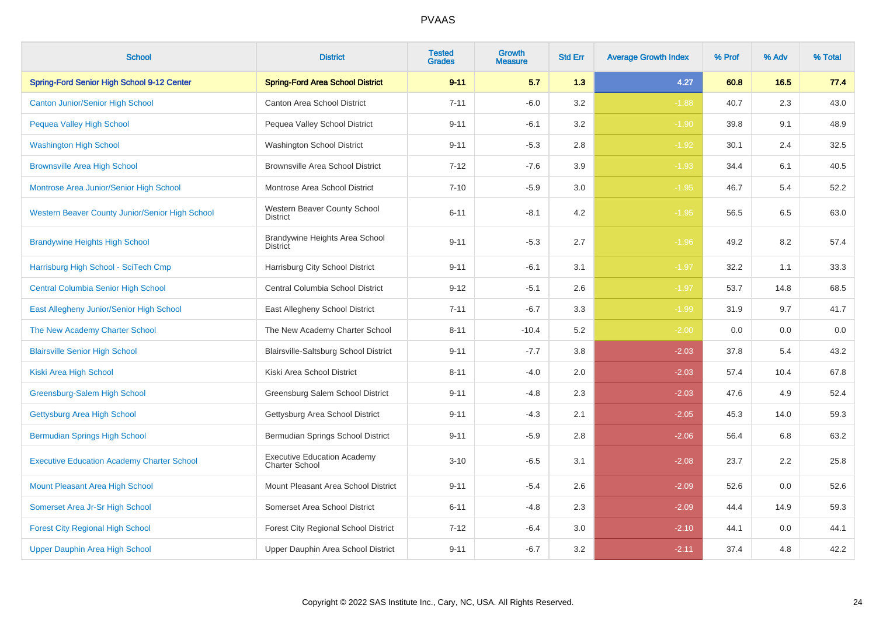| <b>School</b>                                     | <b>District</b>                                             | <b>Tested</b><br><b>Grades</b> | Growth<br><b>Measure</b> | <b>Std Err</b> | <b>Average Growth Index</b> | % Prof | % Adv | % Total |
|---------------------------------------------------|-------------------------------------------------------------|--------------------------------|--------------------------|----------------|-----------------------------|--------|-------|---------|
| Spring-Ford Senior High School 9-12 Center        | <b>Spring-Ford Area School District</b>                     | $9 - 11$                       | 5.7                      | 1.3            | 4.27                        | 60.8   | 16.5  | 77.4    |
| <b>Canton Junior/Senior High School</b>           | <b>Canton Area School District</b>                          | $7 - 11$                       | $-6.0$                   | 3.2            | $-1.88$                     | 40.7   | 2.3   | 43.0    |
| Pequea Valley High School                         | Pequea Valley School District                               | $9 - 11$                       | $-6.1$                   | 3.2            | $-1.90$                     | 39.8   | 9.1   | 48.9    |
| <b>Washington High School</b>                     | Washington School District                                  | $9 - 11$                       | $-5.3$                   | 2.8            | $-1.92$                     | 30.1   | 2.4   | 32.5    |
| <b>Brownsville Area High School</b>               | <b>Brownsville Area School District</b>                     | $7 - 12$                       | $-7.6$                   | 3.9            | $-1.93$                     | 34.4   | 6.1   | 40.5    |
| Montrose Area Junior/Senior High School           | Montrose Area School District                               | $7 - 10$                       | $-5.9$                   | 3.0            | $-1.95$                     | 46.7   | 5.4   | 52.2    |
| Western Beaver County Junior/Senior High School   | Western Beaver County School<br><b>District</b>             | $6 - 11$                       | $-8.1$                   | 4.2            | $-1.95$                     | 56.5   | 6.5   | 63.0    |
| <b>Brandywine Heights High School</b>             | Brandywine Heights Area School<br><b>District</b>           | $9 - 11$                       | $-5.3$                   | 2.7            | $-1.96$                     | 49.2   | 8.2   | 57.4    |
| Harrisburg High School - SciTech Cmp              | Harrisburg City School District                             | $9 - 11$                       | $-6.1$                   | 3.1            | $-1.97$                     | 32.2   | 1.1   | 33.3    |
| <b>Central Columbia Senior High School</b>        | Central Columbia School District                            | $9 - 12$                       | $-5.1$                   | 2.6            | $-1.97$                     | 53.7   | 14.8  | 68.5    |
| East Allegheny Junior/Senior High School          | East Allegheny School District                              | $7 - 11$                       | $-6.7$                   | 3.3            | $-1.99$                     | 31.9   | 9.7   | 41.7    |
| The New Academy Charter School                    | The New Academy Charter School                              | $8 - 11$                       | $-10.4$                  | 5.2            | $-2.00$                     | 0.0    | 0.0   | 0.0     |
| <b>Blairsville Senior High School</b>             | Blairsville-Saltsburg School District                       | $9 - 11$                       | $-7.7$                   | 3.8            | $-2.03$                     | 37.8   | 5.4   | 43.2    |
| Kiski Area High School                            | Kiski Area School District                                  | $8 - 11$                       | $-4.0$                   | 2.0            | $-2.03$                     | 57.4   | 10.4  | 67.8    |
| Greensburg-Salem High School                      | Greensburg Salem School District                            | $9 - 11$                       | $-4.8$                   | 2.3            | $-2.03$                     | 47.6   | 4.9   | 52.4    |
| Gettysburg Area High School                       | Gettysburg Area School District                             | $9 - 11$                       | $-4.3$                   | 2.1            | $-2.05$                     | 45.3   | 14.0  | 59.3    |
| <b>Bermudian Springs High School</b>              | Bermudian Springs School District                           | $9 - 11$                       | $-5.9$                   | 2.8            | $-2.06$                     | 56.4   | 6.8   | 63.2    |
| <b>Executive Education Academy Charter School</b> | <b>Executive Education Academy</b><br><b>Charter School</b> | $3 - 10$                       | $-6.5$                   | 3.1            | $-2.08$                     | 23.7   | 2.2   | 25.8    |
| Mount Pleasant Area High School                   | Mount Pleasant Area School District                         | $9 - 11$                       | $-5.4$                   | 2.6            | $-2.09$                     | 52.6   | 0.0   | 52.6    |
| Somerset Area Jr-Sr High School                   | Somerset Area School District                               | $6 - 11$                       | $-4.8$                   | 2.3            | $-2.09$                     | 44.4   | 14.9  | 59.3    |
| <b>Forest City Regional High School</b>           | <b>Forest City Regional School District</b>                 | $7 - 12$                       | $-6.4$                   | 3.0            | $-2.10$                     | 44.1   | 0.0   | 44.1    |
| Upper Dauphin Area High School                    | Upper Dauphin Area School District                          | $9 - 11$                       | $-6.7$                   | 3.2            | $-2.11$                     | 37.4   | 4.8   | 42.2    |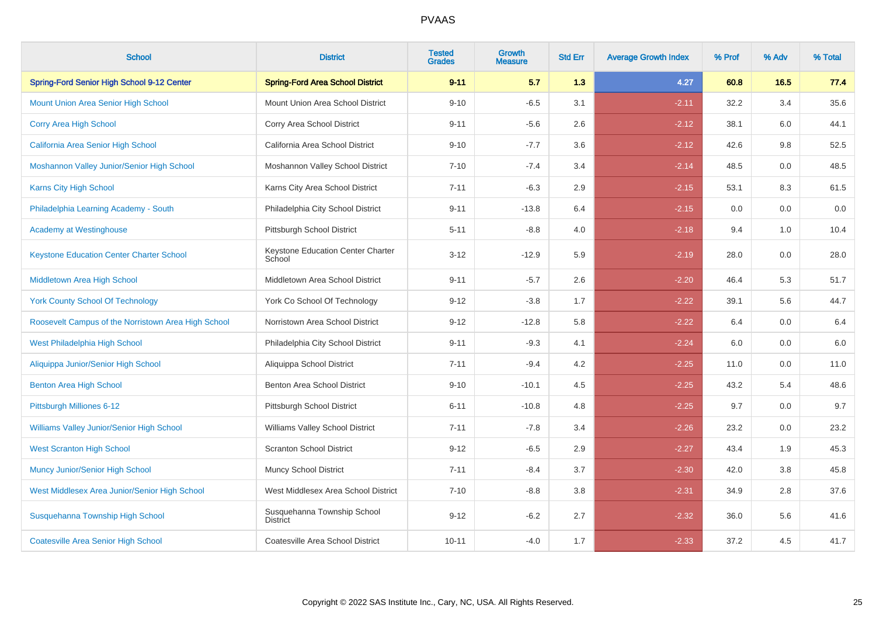| <b>School</b>                                       | <b>District</b>                             | <b>Tested</b><br><b>Grades</b> | <b>Growth</b><br><b>Measure</b> | <b>Std Err</b> | <b>Average Growth Index</b> | % Prof | % Adv | % Total |
|-----------------------------------------------------|---------------------------------------------|--------------------------------|---------------------------------|----------------|-----------------------------|--------|-------|---------|
| Spring-Ford Senior High School 9-12 Center          | <b>Spring-Ford Area School District</b>     | $9 - 11$                       | 5.7                             | 1.3            | 4.27                        | 60.8   | 16.5  | 77.4    |
| <b>Mount Union Area Senior High School</b>          | Mount Union Area School District            | $9 - 10$                       | $-6.5$                          | 3.1            | $-2.11$                     | 32.2   | 3.4   | 35.6    |
| Corry Area High School                              | Corry Area School District                  | $9 - 11$                       | $-5.6$                          | 2.6            | $-2.12$                     | 38.1   | 6.0   | 44.1    |
| California Area Senior High School                  | California Area School District             | $9 - 10$                       | $-7.7$                          | 3.6            | $-2.12$                     | 42.6   | 9.8   | 52.5    |
| Moshannon Valley Junior/Senior High School          | Moshannon Valley School District            | $7 - 10$                       | $-7.4$                          | 3.4            | $-2.14$                     | 48.5   | 0.0   | 48.5    |
| Karns City High School                              | Karns City Area School District             | $7 - 11$                       | $-6.3$                          | 2.9            | $-2.15$                     | 53.1   | 8.3   | 61.5    |
| Philadelphia Learning Academy - South               | Philadelphia City School District           | $9 - 11$                       | $-13.8$                         | 6.4            | $-2.15$                     | 0.0    | 0.0   | $0.0\,$ |
| <b>Academy at Westinghouse</b>                      | Pittsburgh School District                  | $5 - 11$                       | $-8.8$                          | 4.0            | $-2.18$                     | 9.4    | 1.0   | 10.4    |
| <b>Keystone Education Center Charter School</b>     | Keystone Education Center Charter<br>School | $3 - 12$                       | $-12.9$                         | 5.9            | $-2.19$                     | 28.0   | 0.0   | 28.0    |
| Middletown Area High School                         | Middletown Area School District             | $9 - 11$                       | $-5.7$                          | 2.6            | $-2.20$                     | 46.4   | 5.3   | 51.7    |
| <b>York County School Of Technology</b>             | York Co School Of Technology                | $9 - 12$                       | $-3.8$                          | 1.7            | $-2.22$                     | 39.1   | 5.6   | 44.7    |
| Roosevelt Campus of the Norristown Area High School | Norristown Area School District             | $9 - 12$                       | $-12.8$                         | 5.8            | $-2.22$                     | 6.4    | 0.0   | $6.4\,$ |
| West Philadelphia High School                       | Philadelphia City School District           | $9 - 11$                       | $-9.3$                          | 4.1            | $-2.24$                     | 6.0    | 0.0   | $6.0\,$ |
| Aliquippa Junior/Senior High School                 | Aliquippa School District                   | $7 - 11$                       | $-9.4$                          | 4.2            | $-2.25$                     | 11.0   | 0.0   | 11.0    |
| <b>Benton Area High School</b>                      | Benton Area School District                 | $9 - 10$                       | $-10.1$                         | 4.5            | $-2.25$                     | 43.2   | 5.4   | 48.6    |
| Pittsburgh Milliones 6-12                           | Pittsburgh School District                  | $6 - 11$                       | $-10.8$                         | 4.8            | $-2.25$                     | 9.7    | 0.0   | 9.7     |
| <b>Williams Valley Junior/Senior High School</b>    | Williams Valley School District             | $7 - 11$                       | $-7.8$                          | 3.4            | $-2.26$                     | 23.2   | 0.0   | 23.2    |
| <b>West Scranton High School</b>                    | <b>Scranton School District</b>             | $9 - 12$                       | $-6.5$                          | 2.9            | $-2.27$                     | 43.4   | 1.9   | 45.3    |
| <b>Muncy Junior/Senior High School</b>              | <b>Muncy School District</b>                | $7 - 11$                       | $-8.4$                          | 3.7            | $-2.30$                     | 42.0   | 3.8   | 45.8    |
| West Middlesex Area Junior/Senior High School       | West Middlesex Area School District         | $7 - 10$                       | $-8.8$                          | 3.8            | $-2.31$                     | 34.9   | 2.8   | 37.6    |
| Susquehanna Township High School                    | Susquehanna Township School<br>District     | $9 - 12$                       | $-6.2$                          | 2.7            | $-2.32$                     | 36.0   | 5.6   | 41.6    |
| <b>Coatesville Area Senior High School</b>          | Coatesville Area School District            | $10 - 11$                      | $-4.0$                          | 1.7            | $-2.33$                     | 37.2   | 4.5   | 41.7    |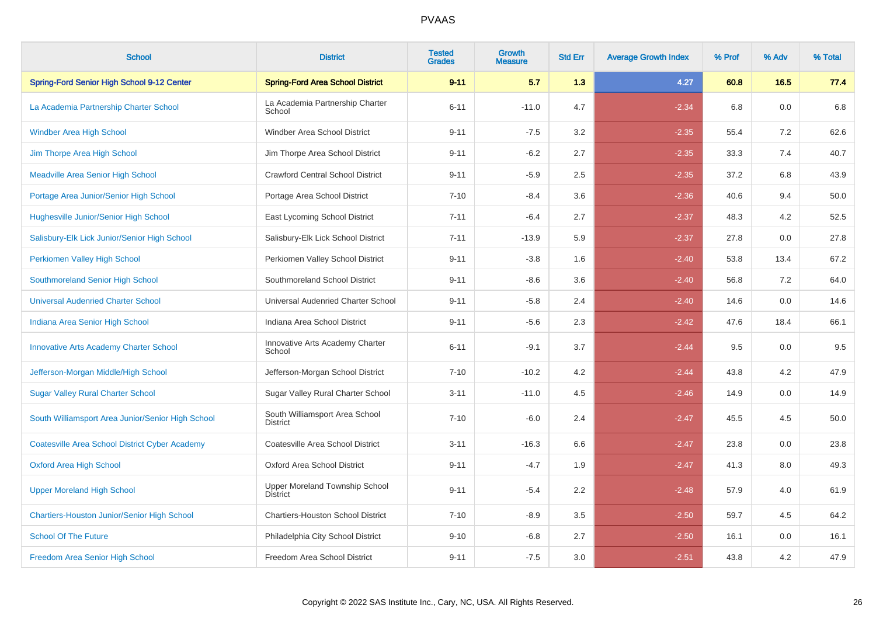| <b>School</b>                                         | <b>District</b>                                   | <b>Tested</b><br><b>Grades</b> | Growth<br><b>Measure</b> | <b>Std Err</b> | <b>Average Growth Index</b> | % Prof | % Adv   | % Total |
|-------------------------------------------------------|---------------------------------------------------|--------------------------------|--------------------------|----------------|-----------------------------|--------|---------|---------|
| Spring-Ford Senior High School 9-12 Center            | <b>Spring-Ford Area School District</b>           | $9 - 11$                       | 5.7                      | 1.3            | 4.27                        | 60.8   | 16.5    | 77.4    |
| La Academia Partnership Charter School                | La Academia Partnership Charter<br>School         | $6 - 11$                       | $-11.0$                  | 4.7            | $-2.34$                     | 6.8    | 0.0     | 6.8     |
| <b>Windber Area High School</b>                       | Windber Area School District                      | $9 - 11$                       | $-7.5$                   | 3.2            | $-2.35$                     | 55.4   | 7.2     | 62.6    |
| Jim Thorpe Area High School                           | Jim Thorpe Area School District                   | $9 - 11$                       | $-6.2$                   | 2.7            | $-2.35$                     | 33.3   | 7.4     | 40.7    |
| <b>Meadville Area Senior High School</b>              | <b>Crawford Central School District</b>           | $9 - 11$                       | $-5.9$                   | 2.5            | $-2.35$                     | 37.2   | 6.8     | 43.9    |
| Portage Area Junior/Senior High School                | Portage Area School District                      | $7 - 10$                       | $-8.4$                   | 3.6            | $-2.36$                     | 40.6   | 9.4     | 50.0    |
| Hughesville Junior/Senior High School                 | East Lycoming School District                     | $7 - 11$                       | $-6.4$                   | 2.7            | $-2.37$                     | 48.3   | 4.2     | 52.5    |
| Salisbury-Elk Lick Junior/Senior High School          | Salisbury-Elk Lick School District                | $7 - 11$                       | $-13.9$                  | 5.9            | $-2.37$                     | 27.8   | 0.0     | 27.8    |
| Perkiomen Valley High School                          | Perkiomen Valley School District                  | $9 - 11$                       | $-3.8$                   | 1.6            | $-2.40$                     | 53.8   | 13.4    | 67.2    |
| <b>Southmoreland Senior High School</b>               | Southmoreland School District                     | $9 - 11$                       | $-8.6$                   | 3.6            | $-2.40$                     | 56.8   | 7.2     | 64.0    |
| <b>Universal Audenried Charter School</b>             | Universal Audenried Charter School                | $9 - 11$                       | $-5.8$                   | 2.4            | $-2.40$                     | 14.6   | 0.0     | 14.6    |
| Indiana Area Senior High School                       | Indiana Area School District                      | $9 - 11$                       | $-5.6$                   | 2.3            | $-2.42$                     | 47.6   | 18.4    | 66.1    |
| Innovative Arts Academy Charter School                | Innovative Arts Academy Charter<br>School         | $6 - 11$                       | $-9.1$                   | 3.7            | $-2.44$                     | 9.5    | 0.0     | 9.5     |
| Jefferson-Morgan Middle/High School                   | Jefferson-Morgan School District                  | $7 - 10$                       | $-10.2$                  | 4.2            | $-2.44$                     | 43.8   | 4.2     | 47.9    |
| <b>Sugar Valley Rural Charter School</b>              | Sugar Valley Rural Charter School                 | $3 - 11$                       | $-11.0$                  | 4.5            | $-2.46$                     | 14.9   | 0.0     | 14.9    |
| South Williamsport Area Junior/Senior High School     | South Williamsport Area School<br><b>District</b> | $7 - 10$                       | $-6.0$                   | 2.4            | $-2.47$                     | 45.5   | 4.5     | 50.0    |
| <b>Coatesville Area School District Cyber Academy</b> | Coatesville Area School District                  | $3 - 11$                       | $-16.3$                  | 6.6            | $-2.47$                     | 23.8   | $0.0\,$ | 23.8    |
| <b>Oxford Area High School</b>                        | Oxford Area School District                       | $9 - 11$                       | $-4.7$                   | 1.9            | $-2.47$                     | 41.3   | 8.0     | 49.3    |
| <b>Upper Moreland High School</b>                     | Upper Moreland Township School<br><b>District</b> | $9 - 11$                       | $-5.4$                   | 2.2            | $-2.48$                     | 57.9   | 4.0     | 61.9    |
| <b>Chartiers-Houston Junior/Senior High School</b>    | <b>Chartiers-Houston School District</b>          | $7 - 10$                       | $-8.9$                   | 3.5            | $-2.50$                     | 59.7   | 4.5     | 64.2    |
| <b>School Of The Future</b>                           | Philadelphia City School District                 | $9 - 10$                       | $-6.8$                   | 2.7            | $-2.50$                     | 16.1   | 0.0     | 16.1    |
| Freedom Area Senior High School                       | Freedom Area School District                      | $9 - 11$                       | $-7.5$                   | 3.0            | $-2.51$                     | 43.8   | 4.2     | 47.9    |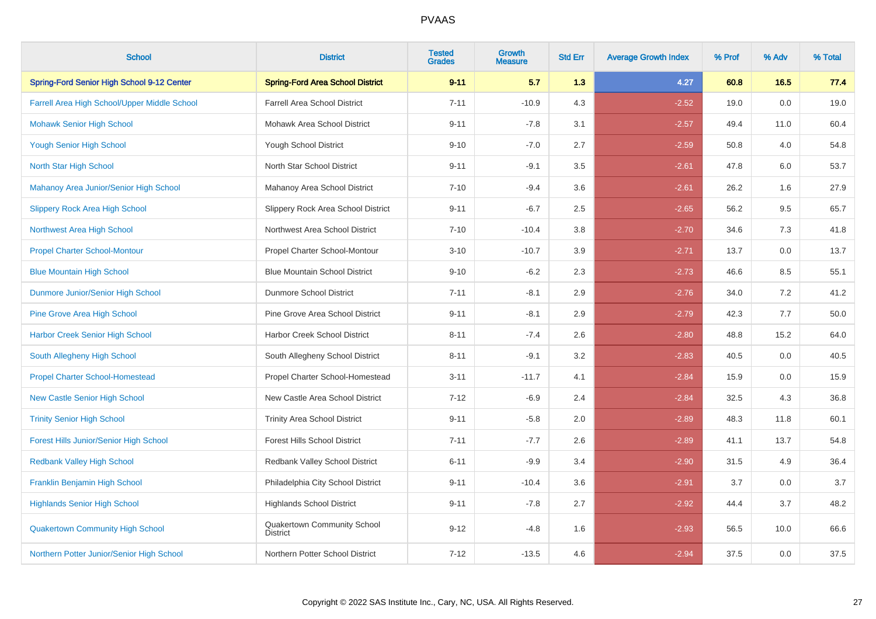| <b>School</b>                                 | <b>District</b>                                | <b>Tested</b><br><b>Grades</b> | <b>Growth</b><br><b>Measure</b> | <b>Std Err</b> | <b>Average Growth Index</b> | % Prof | % Adv | % Total |
|-----------------------------------------------|------------------------------------------------|--------------------------------|---------------------------------|----------------|-----------------------------|--------|-------|---------|
| Spring-Ford Senior High School 9-12 Center    | <b>Spring-Ford Area School District</b>        | $9 - 11$                       | 5.7                             | 1.3            | 4.27                        | 60.8   | 16.5  | 77.4    |
| Farrell Area High School/Upper Middle School  | <b>Farrell Area School District</b>            | $7 - 11$                       | $-10.9$                         | 4.3            | $-2.52$                     | 19.0   | 0.0   | 19.0    |
| <b>Mohawk Senior High School</b>              | Mohawk Area School District                    | $9 - 11$                       | $-7.8$                          | 3.1            | $-2.57$                     | 49.4   | 11.0  | 60.4    |
| <b>Yough Senior High School</b>               | Yough School District                          | $9 - 10$                       | $-7.0$                          | 2.7            | $-2.59$                     | 50.8   | 4.0   | 54.8    |
| North Star High School                        | North Star School District                     | $9 - 11$                       | $-9.1$                          | 3.5            | $-2.61$                     | 47.8   | 6.0   | 53.7    |
| Mahanoy Area Junior/Senior High School        | Mahanoy Area School District                   | $7 - 10$                       | $-9.4$                          | 3.6            | $-2.61$                     | 26.2   | 1.6   | 27.9    |
| <b>Slippery Rock Area High School</b>         | Slippery Rock Area School District             | $9 - 11$                       | $-6.7$                          | 2.5            | $-2.65$                     | 56.2   | 9.5   | 65.7    |
| Northwest Area High School                    | Northwest Area School District                 | $7 - 10$                       | $-10.4$                         | 3.8            | $-2.70$                     | 34.6   | 7.3   | 41.8    |
| <b>Propel Charter School-Montour</b>          | Propel Charter School-Montour                  | $3 - 10$                       | $-10.7$                         | 3.9            | $-2.71$                     | 13.7   | 0.0   | 13.7    |
| <b>Blue Mountain High School</b>              | <b>Blue Mountain School District</b>           | $9 - 10$                       | $-6.2$                          | 2.3            | $-2.73$                     | 46.6   | 8.5   | 55.1    |
| Dunmore Junior/Senior High School             | <b>Dunmore School District</b>                 | $7 - 11$                       | $-8.1$                          | 2.9            | $-2.76$                     | 34.0   | 7.2   | 41.2    |
| <b>Pine Grove Area High School</b>            | Pine Grove Area School District                | $9 - 11$                       | $-8.1$                          | 2.9            | $-2.79$                     | 42.3   | 7.7   | 50.0    |
| <b>Harbor Creek Senior High School</b>        | Harbor Creek School District                   | $8 - 11$                       | $-7.4$                          | 2.6            | $-2.80$                     | 48.8   | 15.2  | 64.0    |
| South Allegheny High School                   | South Allegheny School District                | $8 - 11$                       | $-9.1$                          | 3.2            | $-2.83$                     | 40.5   | 0.0   | 40.5    |
| <b>Propel Charter School-Homestead</b>        | Propel Charter School-Homestead                | $3 - 11$                       | $-11.7$                         | 4.1            | $-2.84$                     | 15.9   | 0.0   | 15.9    |
| <b>New Castle Senior High School</b>          | New Castle Area School District                | $7 - 12$                       | $-6.9$                          | 2.4            | $-2.84$                     | 32.5   | 4.3   | 36.8    |
| <b>Trinity Senior High School</b>             | <b>Trinity Area School District</b>            | $9 - 11$                       | $-5.8$                          | 2.0            | $-2.89$                     | 48.3   | 11.8  | 60.1    |
| <b>Forest Hills Junior/Senior High School</b> | <b>Forest Hills School District</b>            | $7 - 11$                       | $-7.7$                          | 2.6            | $-2.89$                     | 41.1   | 13.7  | 54.8    |
| <b>Redbank Valley High School</b>             | Redbank Valley School District                 | $6 - 11$                       | $-9.9$                          | 3.4            | $-2.90$                     | 31.5   | 4.9   | 36.4    |
| Franklin Benjamin High School                 | Philadelphia City School District              | $9 - 11$                       | $-10.4$                         | 3.6            | $-2.91$                     | 3.7    | 0.0   | 3.7     |
| <b>Highlands Senior High School</b>           | <b>Highlands School District</b>               | $9 - 11$                       | $-7.8$                          | 2.7            | $-2.92$                     | 44.4   | 3.7   | 48.2    |
| <b>Quakertown Community High School</b>       | Quakertown Community School<br><b>District</b> | $9 - 12$                       | $-4.8$                          | 1.6            | $-2.93$                     | 56.5   | 10.0  | 66.6    |
| Northern Potter Junior/Senior High School     | Northern Potter School District                | $7 - 12$                       | $-13.5$                         | 4.6            | $-2.94$                     | 37.5   | 0.0   | 37.5    |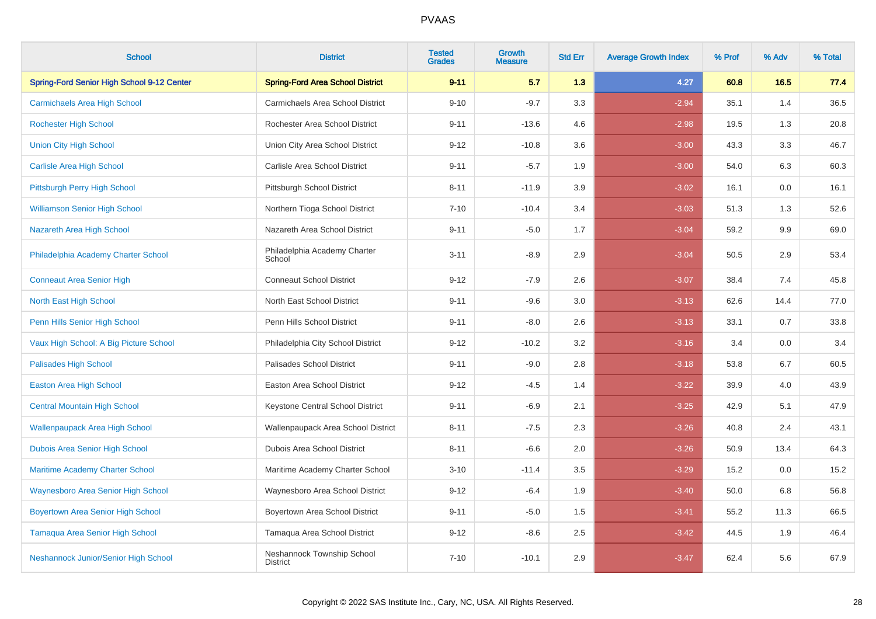| <b>School</b>                              | <b>District</b>                               | <b>Tested</b><br><b>Grades</b> | Growth<br><b>Measure</b> | <b>Std Err</b> | <b>Average Growth Index</b> | % Prof | % Adv | % Total |
|--------------------------------------------|-----------------------------------------------|--------------------------------|--------------------------|----------------|-----------------------------|--------|-------|---------|
| Spring-Ford Senior High School 9-12 Center | <b>Spring-Ford Area School District</b>       | $9 - 11$                       | 5.7                      | 1.3            | 4.27                        | 60.8   | 16.5  | 77.4    |
| <b>Carmichaels Area High School</b>        | Carmichaels Area School District              | $9 - 10$                       | $-9.7$                   | 3.3            | $-2.94$                     | 35.1   | 1.4   | 36.5    |
| <b>Rochester High School</b>               | Rochester Area School District                | $9 - 11$                       | $-13.6$                  | 4.6            | $-2.98$                     | 19.5   | 1.3   | 20.8    |
| <b>Union City High School</b>              | Union City Area School District               | $9 - 12$                       | $-10.8$                  | 3.6            | $-3.00$                     | 43.3   | 3.3   | 46.7    |
| <b>Carlisle Area High School</b>           | Carlisle Area School District                 | $9 - 11$                       | $-5.7$                   | 1.9            | $-3.00$                     | 54.0   | 6.3   | 60.3    |
| Pittsburgh Perry High School               | Pittsburgh School District                    | $8 - 11$                       | $-11.9$                  | 3.9            | $-3.02$                     | 16.1   | 0.0   | 16.1    |
| <b>Williamson Senior High School</b>       | Northern Tioga School District                | $7 - 10$                       | $-10.4$                  | 3.4            | $-3.03$                     | 51.3   | 1.3   | 52.6    |
| Nazareth Area High School                  | Nazareth Area School District                 | $9 - 11$                       | $-5.0$                   | 1.7            | $-3.04$                     | 59.2   | 9.9   | 69.0    |
| Philadelphia Academy Charter School        | Philadelphia Academy Charter<br>School        | $3 - 11$                       | $-8.9$                   | 2.9            | $-3.04$                     | 50.5   | 2.9   | 53.4    |
| <b>Conneaut Area Senior High</b>           | <b>Conneaut School District</b>               | $9 - 12$                       | $-7.9$                   | 2.6            | $-3.07$                     | 38.4   | 7.4   | 45.8    |
| North East High School                     | North East School District                    | $9 - 11$                       | $-9.6$                   | 3.0            | $-3.13$                     | 62.6   | 14.4  | 77.0    |
| Penn Hills Senior High School              | Penn Hills School District                    | $9 - 11$                       | $-8.0$                   | 2.6            | $-3.13$                     | 33.1   | 0.7   | 33.8    |
| Vaux High School: A Big Picture School     | Philadelphia City School District             | $9 - 12$                       | $-10.2$                  | 3.2            | $-3.16$                     | 3.4    | 0.0   | 3.4     |
| <b>Palisades High School</b>               | Palisades School District                     | $9 - 11$                       | $-9.0$                   | 2.8            | $-3.18$                     | 53.8   | 6.7   | 60.5    |
| <b>Easton Area High School</b>             | Easton Area School District                   | $9 - 12$                       | $-4.5$                   | 1.4            | $-3.22$                     | 39.9   | 4.0   | 43.9    |
| <b>Central Mountain High School</b>        | Keystone Central School District              | $9 - 11$                       | $-6.9$                   | 2.1            | $-3.25$                     | 42.9   | 5.1   | 47.9    |
| <b>Wallenpaupack Area High School</b>      | Wallenpaupack Area School District            | $8 - 11$                       | $-7.5$                   | 2.3            | $-3.26$                     | 40.8   | 2.4   | 43.1    |
| Dubois Area Senior High School             | Dubois Area School District                   | $8 - 11$                       | $-6.6$                   | 2.0            | $-3.26$                     | 50.9   | 13.4  | 64.3    |
| <b>Maritime Academy Charter School</b>     | Maritime Academy Charter School               | $3 - 10$                       | $-11.4$                  | 3.5            | $-3.29$                     | 15.2   | 0.0   | 15.2    |
| <b>Waynesboro Area Senior High School</b>  | Waynesboro Area School District               | $9 - 12$                       | $-6.4$                   | 1.9            | $-3.40$                     | 50.0   | 6.8   | 56.8    |
| <b>Boyertown Area Senior High School</b>   | Boyertown Area School District                | $9 - 11$                       | $-5.0$                   | 1.5            | $-3.41$                     | 55.2   | 11.3  | 66.5    |
| <b>Tamaqua Area Senior High School</b>     | Tamaqua Area School District                  | $9 - 12$                       | $-8.6$                   | 2.5            | $-3.42$                     | 44.5   | 1.9   | 46.4    |
| Neshannock Junior/Senior High School       | Neshannock Township School<br><b>District</b> | $7 - 10$                       | $-10.1$                  | 2.9            | $-3.47$                     | 62.4   | 5.6   | 67.9    |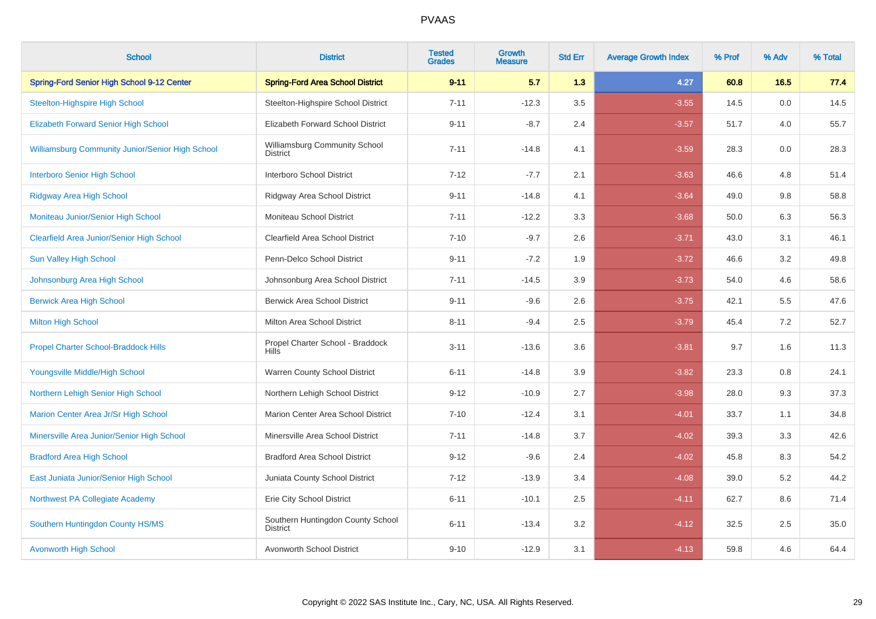| <b>School</b>                                           | <b>District</b>                                      | <b>Tested</b><br><b>Grades</b> | <b>Growth</b><br><b>Measure</b> | <b>Std Err</b> | <b>Average Growth Index</b> | % Prof | % Adv | % Total |
|---------------------------------------------------------|------------------------------------------------------|--------------------------------|---------------------------------|----------------|-----------------------------|--------|-------|---------|
| Spring-Ford Senior High School 9-12 Center              | <b>Spring-Ford Area School District</b>              | $9 - 11$                       | 5.7                             | 1.3            | 4.27                        | 60.8   | 16.5  | 77.4    |
| <b>Steelton-Highspire High School</b>                   | Steelton-Highspire School District                   | $7 - 11$                       | $-12.3$                         | 3.5            | $-3.55$                     | 14.5   | 0.0   | 14.5    |
| <b>Elizabeth Forward Senior High School</b>             | Elizabeth Forward School District                    | $9 - 11$                       | $-8.7$                          | 2.4            | $-3.57$                     | 51.7   | 4.0   | 55.7    |
| <b>Williamsburg Community Junior/Senior High School</b> | Williamsburg Community School<br><b>District</b>     | $7 - 11$                       | $-14.8$                         | 4.1            | $-3.59$                     | 28.3   | 0.0   | 28.3    |
| <b>Interboro Senior High School</b>                     | Interboro School District                            | $7 - 12$                       | $-7.7$                          | 2.1            | $-3.63$                     | 46.6   | 4.8   | 51.4    |
| <b>Ridgway Area High School</b>                         | Ridgway Area School District                         | $9 - 11$                       | $-14.8$                         | 4.1            | $-3.64$                     | 49.0   | 9.8   | 58.8    |
| Moniteau Junior/Senior High School                      | Moniteau School District                             | $7 - 11$                       | $-12.2$                         | 3.3            | $-3.68$                     | 50.0   | 6.3   | 56.3    |
| <b>Clearfield Area Junior/Senior High School</b>        | Clearfield Area School District                      | $7 - 10$                       | $-9.7$                          | 2.6            | $-3.71$                     | 43.0   | 3.1   | 46.1    |
| <b>Sun Valley High School</b>                           | Penn-Delco School District                           | $9 - 11$                       | $-7.2$                          | 1.9            | $-3.72$                     | 46.6   | 3.2   | 49.8    |
| Johnsonburg Area High School                            | Johnsonburg Area School District                     | $7 - 11$                       | $-14.5$                         | 3.9            | $-3.73$                     | 54.0   | 4.6   | 58.6    |
| <b>Berwick Area High School</b>                         | <b>Berwick Area School District</b>                  | $9 - 11$                       | $-9.6$                          | 2.6            | $-3.75$                     | 42.1   | 5.5   | 47.6    |
| <b>Milton High School</b>                               | Milton Area School District                          | $8 - 11$                       | $-9.4$                          | 2.5            | $-3.79$                     | 45.4   | 7.2   | 52.7    |
| <b>Propel Charter School-Braddock Hills</b>             | Propel Charter School - Braddock<br><b>Hills</b>     | $3 - 11$                       | $-13.6$                         | 3.6            | $-3.81$                     | 9.7    | 1.6   | 11.3    |
| Youngsville Middle/High School                          | Warren County School District                        | $6 - 11$                       | $-14.8$                         | 3.9            | $-3.82$                     | 23.3   | 0.8   | 24.1    |
| Northern Lehigh Senior High School                      | Northern Lehigh School District                      | $9 - 12$                       | $-10.9$                         | 2.7            | $-3.98$                     | 28.0   | 9.3   | 37.3    |
| Marion Center Area Jr/Sr High School                    | Marion Center Area School District                   | $7 - 10$                       | $-12.4$                         | 3.1            | $-4.01$                     | 33.7   | 1.1   | 34.8    |
| Minersville Area Junior/Senior High School              | Minersville Area School District                     | $7 - 11$                       | $-14.8$                         | 3.7            | $-4.02$                     | 39.3   | 3.3   | 42.6    |
| <b>Bradford Area High School</b>                        | <b>Bradford Area School District</b>                 | $9 - 12$                       | $-9.6$                          | 2.4            | $-4.02$                     | 45.8   | 8.3   | 54.2    |
| East Juniata Junior/Senior High School                  | Juniata County School District                       | $7 - 12$                       | $-13.9$                         | 3.4            | $-4.08$                     | 39.0   | 5.2   | 44.2    |
| Northwest PA Collegiate Academy                         | Erie City School District                            | $6 - 11$                       | $-10.1$                         | 2.5            | $-4.11$                     | 62.7   | 8.6   | 71.4    |
| Southern Huntingdon County HS/MS                        | Southern Huntingdon County School<br><b>District</b> | $6 - 11$                       | $-13.4$                         | 3.2            | $-4.12$                     | 32.5   | 2.5   | 35.0    |
| <b>Avonworth High School</b>                            | Avonworth School District                            | $9 - 10$                       | $-12.9$                         | 3.1            | $-4.13$                     | 59.8   | 4.6   | 64.4    |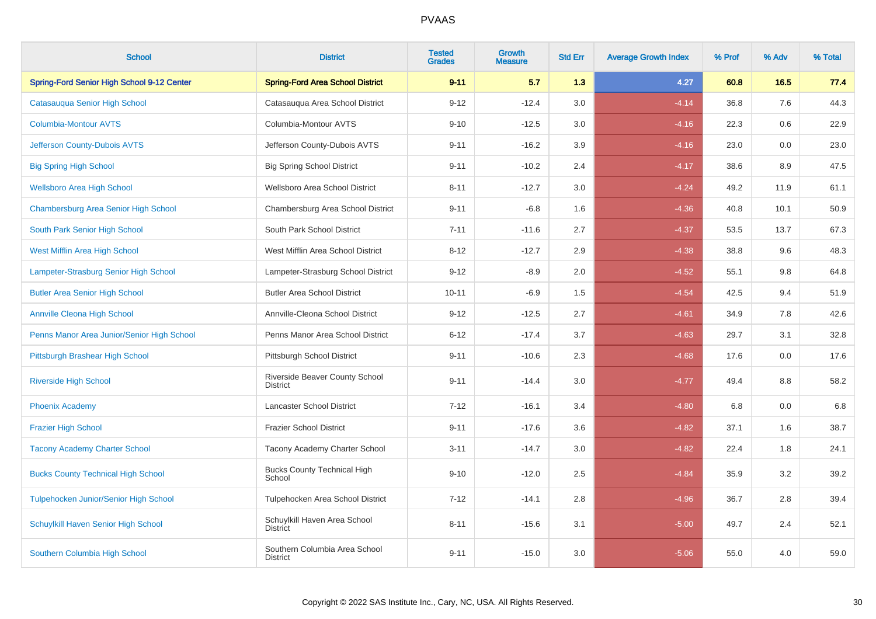| <b>School</b>                              | <b>District</b>                                   | <b>Tested</b><br><b>Grades</b> | Growth<br><b>Measure</b> | <b>Std Err</b> | <b>Average Growth Index</b> | % Prof | % Adv   | % Total |
|--------------------------------------------|---------------------------------------------------|--------------------------------|--------------------------|----------------|-----------------------------|--------|---------|---------|
| Spring-Ford Senior High School 9-12 Center | <b>Spring-Ford Area School District</b>           | $9 - 11$                       | 5.7                      | 1.3            | 4.27                        | 60.8   | 16.5    | 77.4    |
| Catasauqua Senior High School              | Catasauqua Area School District                   | $9 - 12$                       | $-12.4$                  | 3.0            | $-4.14$                     | 36.8   | 7.6     | 44.3    |
| <b>Columbia-Montour AVTS</b>               | Columbia-Montour AVTS                             | $9 - 10$                       | $-12.5$                  | 3.0            | $-4.16$                     | 22.3   | 0.6     | 22.9    |
| Jefferson County-Dubois AVTS               | Jefferson County-Dubois AVTS                      | $9 - 11$                       | $-16.2$                  | 3.9            | $-4.16$                     | 23.0   | $0.0\,$ | 23.0    |
| <b>Big Spring High School</b>              | <b>Big Spring School District</b>                 | $9 - 11$                       | $-10.2$                  | 2.4            | $-4.17$                     | 38.6   | 8.9     | 47.5    |
| <b>Wellsboro Area High School</b>          | Wellsboro Area School District                    | $8 - 11$                       | $-12.7$                  | 3.0            | $-4.24$                     | 49.2   | 11.9    | 61.1    |
| Chambersburg Area Senior High School       | Chambersburg Area School District                 | $9 - 11$                       | $-6.8$                   | 1.6            | $-4.36$                     | 40.8   | 10.1    | 50.9    |
| South Park Senior High School              | South Park School District                        | $7 - 11$                       | $-11.6$                  | 2.7            | $-4.37$                     | 53.5   | 13.7    | 67.3    |
| <b>West Mifflin Area High School</b>       | West Mifflin Area School District                 | $8 - 12$                       | $-12.7$                  | 2.9            | $-4.38$                     | 38.8   | 9.6     | 48.3    |
| Lampeter-Strasburg Senior High School      | Lampeter-Strasburg School District                | $9 - 12$                       | $-8.9$                   | 2.0            | $-4.52$                     | 55.1   | 9.8     | 64.8    |
| <b>Butler Area Senior High School</b>      | <b>Butler Area School District</b>                | $10 - 11$                      | $-6.9$                   | 1.5            | $-4.54$                     | 42.5   | 9.4     | 51.9    |
| <b>Annville Cleona High School</b>         | Annville-Cleona School District                   | $9 - 12$                       | $-12.5$                  | 2.7            | $-4.61$                     | 34.9   | 7.8     | 42.6    |
| Penns Manor Area Junior/Senior High School | Penns Manor Area School District                  | $6 - 12$                       | $-17.4$                  | 3.7            | $-4.63$                     | 29.7   | 3.1     | 32.8    |
| Pittsburgh Brashear High School            | Pittsburgh School District                        | $9 - 11$                       | $-10.6$                  | 2.3            | $-4.68$                     | 17.6   | 0.0     | 17.6    |
| <b>Riverside High School</b>               | Riverside Beaver County School<br><b>District</b> | $9 - 11$                       | $-14.4$                  | 3.0            | $-4.77$                     | 49.4   | 8.8     | 58.2    |
| <b>Phoenix Academy</b>                     | <b>Lancaster School District</b>                  | $7 - 12$                       | $-16.1$                  | 3.4            | $-4.80$                     | 6.8    | 0.0     | 6.8     |
| <b>Frazier High School</b>                 | <b>Frazier School District</b>                    | $9 - 11$                       | $-17.6$                  | 3.6            | $-4.82$                     | 37.1   | 1.6     | 38.7    |
| <b>Tacony Academy Charter School</b>       | Tacony Academy Charter School                     | $3 - 11$                       | $-14.7$                  | 3.0            | $-4.82$                     | 22.4   | 1.8     | 24.1    |
| <b>Bucks County Technical High School</b>  | <b>Bucks County Technical High</b><br>School      | $9 - 10$                       | $-12.0$                  | 2.5            | $-4.84$                     | 35.9   | 3.2     | 39.2    |
| Tulpehocken Junior/Senior High School      | Tulpehocken Area School District                  | $7 - 12$                       | $-14.1$                  | $2.8\,$        | $-4.96$                     | 36.7   | 2.8     | 39.4    |
| Schuylkill Haven Senior High School        | Schuylkill Haven Area School<br><b>District</b>   | $8 - 11$                       | $-15.6$                  | 3.1            | $-5.00$                     | 49.7   | 2.4     | 52.1    |
| Southern Columbia High School              | Southern Columbia Area School<br><b>District</b>  | $9 - 11$                       | $-15.0$                  | 3.0            | $-5.06$                     | 55.0   | 4.0     | 59.0    |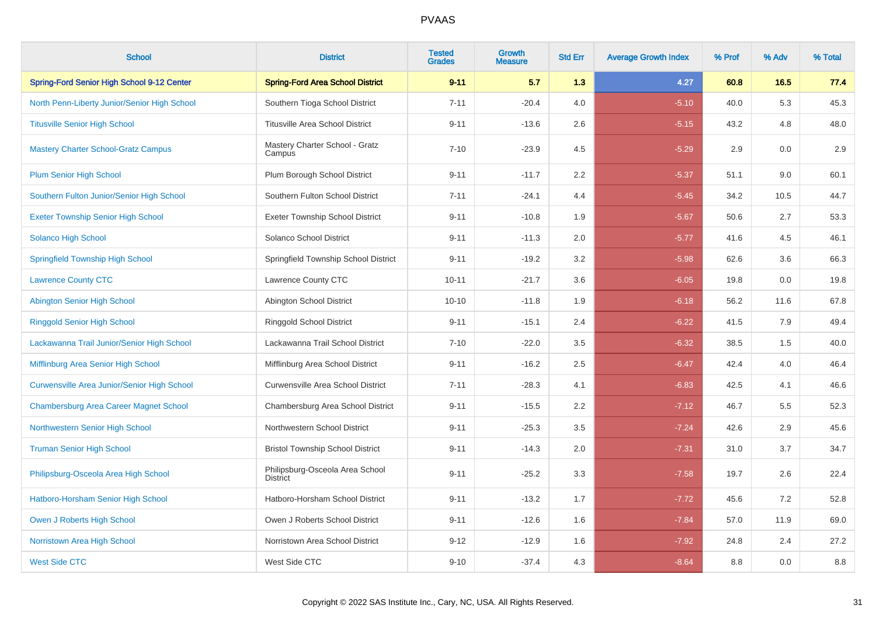| <b>School</b>                                      | <b>District</b>                                    | <b>Tested</b><br><b>Grades</b> | <b>Growth</b><br><b>Measure</b> | <b>Std Err</b> | <b>Average Growth Index</b> | % Prof | % Adv | % Total |
|----------------------------------------------------|----------------------------------------------------|--------------------------------|---------------------------------|----------------|-----------------------------|--------|-------|---------|
| Spring-Ford Senior High School 9-12 Center         | <b>Spring-Ford Area School District</b>            | $9 - 11$                       | 5.7                             | 1.3            | 4.27                        | 60.8   | 16.5  | 77.4    |
| North Penn-Liberty Junior/Senior High School       | Southern Tioga School District                     | $7 - 11$                       | $-20.4$                         | 4.0            | $-5.10$                     | 40.0   | 5.3   | 45.3    |
| <b>Titusville Senior High School</b>               | <b>Titusville Area School District</b>             | $9 - 11$                       | $-13.6$                         | 2.6            | $-5.15$                     | 43.2   | 4.8   | 48.0    |
| <b>Mastery Charter School-Gratz Campus</b>         | Mastery Charter School - Gratz<br>Campus           | $7 - 10$                       | $-23.9$                         | 4.5            | $-5.29$                     | 2.9    | 0.0   | 2.9     |
| <b>Plum Senior High School</b>                     | Plum Borough School District                       | $9 - 11$                       | $-11.7$                         | 2.2            | $-5.37$                     | 51.1   | 9.0   | 60.1    |
| Southern Fulton Junior/Senior High School          | Southern Fulton School District                    | $7 - 11$                       | $-24.1$                         | 4.4            | $-5.45$                     | 34.2   | 10.5  | 44.7    |
| <b>Exeter Township Senior High School</b>          | <b>Exeter Township School District</b>             | $9 - 11$                       | $-10.8$                         | 1.9            | $-5.67$                     | 50.6   | 2.7   | 53.3    |
| <b>Solanco High School</b>                         | Solanco School District                            | $9 - 11$                       | $-11.3$                         | 2.0            | $-5.77$                     | 41.6   | 4.5   | 46.1    |
| <b>Springfield Township High School</b>            | Springfield Township School District               | $9 - 11$                       | $-19.2$                         | 3.2            | $-5.98$                     | 62.6   | 3.6   | 66.3    |
| <b>Lawrence County CTC</b>                         | Lawrence County CTC                                | $10 - 11$                      | $-21.7$                         | 3.6            | $-6.05$                     | 19.8   | 0.0   | 19.8    |
| <b>Abington Senior High School</b>                 | Abington School District                           | $10 - 10$                      | $-11.8$                         | 1.9            | $-6.18$                     | 56.2   | 11.6  | 67.8    |
| <b>Ringgold Senior High School</b>                 | Ringgold School District                           | $9 - 11$                       | $-15.1$                         | 2.4            | $-6.22$                     | 41.5   | 7.9   | 49.4    |
| Lackawanna Trail Junior/Senior High School         | Lackawanna Trail School District                   | $7 - 10$                       | $-22.0$                         | 3.5            | $-6.32$                     | 38.5   | 1.5   | 40.0    |
| Mifflinburg Area Senior High School                | Mifflinburg Area School District                   | $9 - 11$                       | $-16.2$                         | 2.5            | $-6.47$                     | 42.4   | 4.0   | 46.4    |
| <b>Curwensville Area Junior/Senior High School</b> | Curwensville Area School District                  | $7 - 11$                       | $-28.3$                         | 4.1            | $-6.83$                     | 42.5   | 4.1   | 46.6    |
| <b>Chambersburg Area Career Magnet School</b>      | Chambersburg Area School District                  | $9 - 11$                       | $-15.5$                         | 2.2            | $-7.12$                     | 46.7   | 5.5   | 52.3    |
| Northwestern Senior High School                    | Northwestern School District                       | $9 - 11$                       | $-25.3$                         | 3.5            | $-7.24$                     | 42.6   | 2.9   | 45.6    |
| <b>Truman Senior High School</b>                   | <b>Bristol Township School District</b>            | $9 - 11$                       | $-14.3$                         | 2.0            | $-7.31$                     | 31.0   | 3.7   | 34.7    |
| Philipsburg-Osceola Area High School               | Philipsburg-Osceola Area School<br><b>District</b> | $9 - 11$                       | $-25.2$                         | 3.3            | $-7.58$                     | 19.7   | 2.6   | 22.4    |
| Hatboro-Horsham Senior High School                 | Hatboro-Horsham School District                    | $9 - 11$                       | $-13.2$                         | 1.7            | $-7.72$                     | 45.6   | 7.2   | 52.8    |
| Owen J Roberts High School                         | Owen J Roberts School District                     | $9 - 11$                       | $-12.6$                         | 1.6            | $-7.84$                     | 57.0   | 11.9  | 69.0    |
| Norristown Area High School                        | Norristown Area School District                    | $9 - 12$                       | $-12.9$                         | 1.6            | $-7.92$                     | 24.8   | 2.4   | 27.2    |
| <b>West Side CTC</b>                               | West Side CTC                                      | $9 - 10$                       | $-37.4$                         | 4.3            | $-8.64$                     | 8.8    | 0.0   | 8.8     |